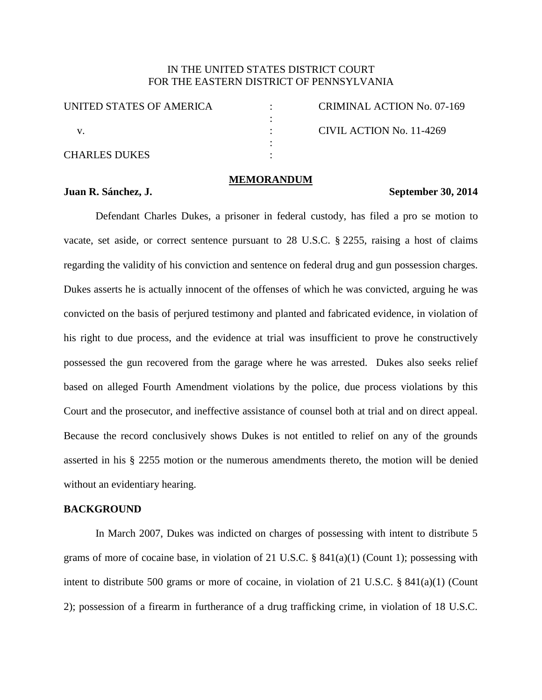# IN THE UNITED STATES DISTRICT COURT FOR THE EASTERN DISTRICT OF PENNSYLVANIA

| <b>CRIMINAL ACTION No. 07-169</b> |
|-----------------------------------|
|                                   |
| CIVIL ACTION No. 11-4269          |
|                                   |
|                                   |
|                                   |

## **MEMORANDUM**

## **Juan R. Sánchez, J. September 30, 2014**

Defendant Charles Dukes, a prisoner in federal custody, has filed a pro se motion to vacate, set aside, or correct sentence pursuant to 28 U.S.C. § 2255, raising a host of claims regarding the validity of his conviction and sentence on federal drug and gun possession charges. Dukes asserts he is actually innocent of the offenses of which he was convicted, arguing he was convicted on the basis of perjured testimony and planted and fabricated evidence, in violation of his right to due process, and the evidence at trial was insufficient to prove he constructively possessed the gun recovered from the garage where he was arrested. Dukes also seeks relief based on alleged Fourth Amendment violations by the police, due process violations by this Court and the prosecutor, and ineffective assistance of counsel both at trial and on direct appeal. Because the record conclusively shows Dukes is not entitled to relief on any of the grounds asserted in his § 2255 motion or the numerous amendments thereto, the motion will be denied without an evidentiary hearing.

## **BACKGROUND**

In March 2007, Dukes was indicted on charges of possessing with intent to distribute 5 grams of more of cocaine base, in violation of 21 U.S.C. § 841(a)(1) (Count 1); possessing with intent to distribute 500 grams or more of cocaine, in violation of 21 U.S.C. § 841(a)(1) (Count 2); possession of a firearm in furtherance of a drug trafficking crime, in violation of 18 U.S.C.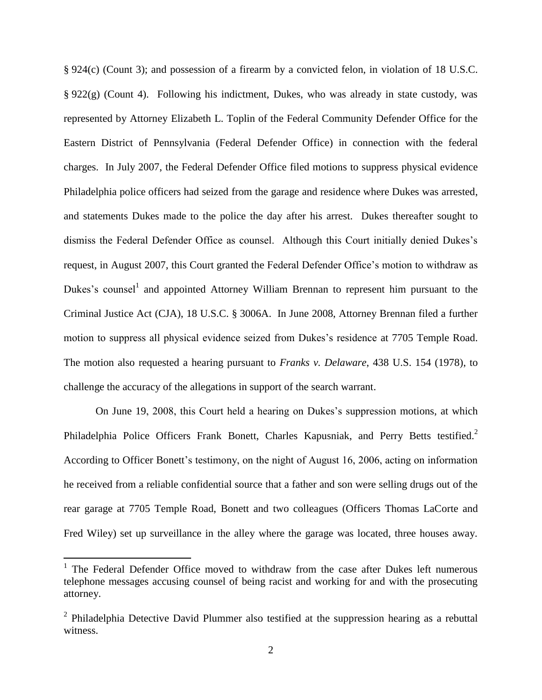§ 924(c) (Count 3); and possession of a firearm by a convicted felon, in violation of 18 U.S.C. § 922(g) (Count 4). Following his indictment, Dukes, who was already in state custody, was represented by Attorney Elizabeth L. Toplin of the Federal Community Defender Office for the Eastern District of Pennsylvania (Federal Defender Office) in connection with the federal charges. In July 2007, the Federal Defender Office filed motions to suppress physical evidence Philadelphia police officers had seized from the garage and residence where Dukes was arrested, and statements Dukes made to the police the day after his arrest. Dukes thereafter sought to dismiss the Federal Defender Office as counsel. Although this Court initially denied Dukes's request, in August 2007, this Court granted the Federal Defender Office's motion to withdraw as Dukes's counsel<sup>1</sup> and appointed Attorney William Brennan to represent him pursuant to the Criminal Justice Act (CJA), 18 U.S.C. § 3006A. In June 2008, Attorney Brennan filed a further motion to suppress all physical evidence seized from Dukes's residence at 7705 Temple Road. The motion also requested a hearing pursuant to *Franks v. Delaware*, 438 U.S. 154 (1978), to challenge the accuracy of the allegations in support of the search warrant.

On June 19, 2008, this Court held a hearing on Dukes's suppression motions, at which Philadelphia Police Officers Frank Bonett, Charles Kapusniak, and Perry Betts testified.<sup>2</sup> According to Officer Bonett's testimony, on the night of August 16, 2006, acting on information he received from a reliable confidential source that a father and son were selling drugs out of the rear garage at 7705 Temple Road, Bonett and two colleagues (Officers Thomas LaCorte and Fred Wiley) set up surveillance in the alley where the garage was located, three houses away.

<sup>&</sup>lt;sup>1</sup> The Federal Defender Office moved to withdraw from the case after Dukes left numerous telephone messages accusing counsel of being racist and working for and with the prosecuting attorney.

 $2$  Philadelphia Detective David Plummer also testified at the suppression hearing as a rebuttal witness.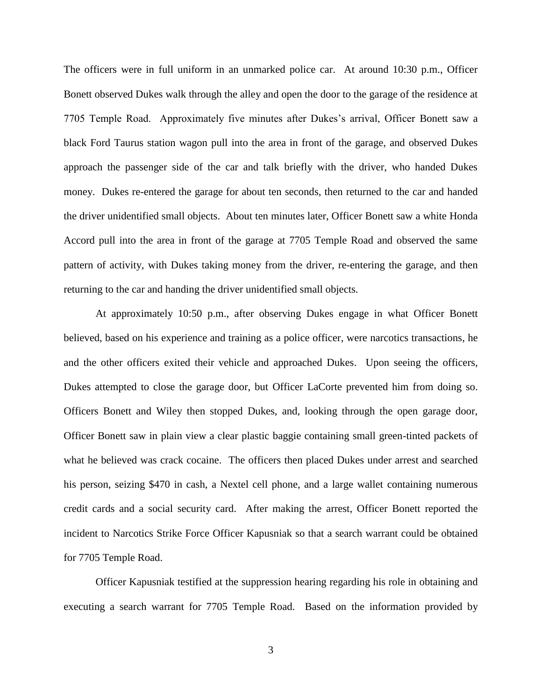The officers were in full uniform in an unmarked police car. At around 10:30 p.m., Officer Bonett observed Dukes walk through the alley and open the door to the garage of the residence at 7705 Temple Road. Approximately five minutes after Dukes's arrival, Officer Bonett saw a black Ford Taurus station wagon pull into the area in front of the garage, and observed Dukes approach the passenger side of the car and talk briefly with the driver, who handed Dukes money. Dukes re-entered the garage for about ten seconds, then returned to the car and handed the driver unidentified small objects. About ten minutes later, Officer Bonett saw a white Honda Accord pull into the area in front of the garage at 7705 Temple Road and observed the same pattern of activity, with Dukes taking money from the driver, re-entering the garage, and then returning to the car and handing the driver unidentified small objects.

At approximately 10:50 p.m., after observing Dukes engage in what Officer Bonett believed, based on his experience and training as a police officer, were narcotics transactions, he and the other officers exited their vehicle and approached Dukes. Upon seeing the officers, Dukes attempted to close the garage door, but Officer LaCorte prevented him from doing so. Officers Bonett and Wiley then stopped Dukes, and, looking through the open garage door, Officer Bonett saw in plain view a clear plastic baggie containing small green-tinted packets of what he believed was crack cocaine. The officers then placed Dukes under arrest and searched his person, seizing \$470 in cash, a Nextel cell phone, and a large wallet containing numerous credit cards and a social security card. After making the arrest, Officer Bonett reported the incident to Narcotics Strike Force Officer Kapusniak so that a search warrant could be obtained for 7705 Temple Road.

Officer Kapusniak testified at the suppression hearing regarding his role in obtaining and executing a search warrant for 7705 Temple Road. Based on the information provided by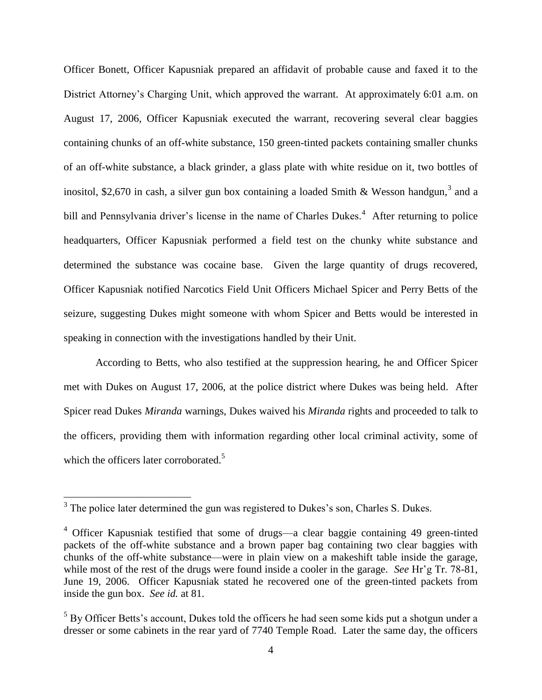Officer Bonett, Officer Kapusniak prepared an affidavit of probable cause and faxed it to the District Attorney's Charging Unit, which approved the warrant. At approximately 6:01 a.m. on August 17, 2006, Officer Kapusniak executed the warrant, recovering several clear baggies containing chunks of an off-white substance, 150 green-tinted packets containing smaller chunks of an off-white substance, a black grinder, a glass plate with white residue on it, two bottles of inositol, \$2,670 in cash, a silver gun box containing a loaded Smith & Wesson handgun,<sup>3</sup> and a bill and Pennsylvania driver's license in the name of Charles Dukes.<sup>4</sup> After returning to police headquarters, Officer Kapusniak performed a field test on the chunky white substance and determined the substance was cocaine base. Given the large quantity of drugs recovered, Officer Kapusniak notified Narcotics Field Unit Officers Michael Spicer and Perry Betts of the seizure, suggesting Dukes might someone with whom Spicer and Betts would be interested in speaking in connection with the investigations handled by their Unit.

According to Betts, who also testified at the suppression hearing, he and Officer Spicer met with Dukes on August 17, 2006, at the police district where Dukes was being held. After Spicer read Dukes *Miranda* warnings, Dukes waived his *Miranda* rights and proceeded to talk to the officers, providing them with information regarding other local criminal activity, some of which the officers later corroborated.<sup>5</sup>

<sup>&</sup>lt;sup>3</sup> The police later determined the gun was registered to Dukes's son, Charles S. Dukes.

<sup>4</sup> Officer Kapusniak testified that some of drugs—a clear baggie containing 49 green-tinted packets of the off-white substance and a brown paper bag containing two clear baggies with chunks of the off-white substance—were in plain view on a makeshift table inside the garage, while most of the rest of the drugs were found inside a cooler in the garage. *See* Hr'g Tr. 78-81, June 19, 2006. Officer Kapusniak stated he recovered one of the green-tinted packets from inside the gun box. *See id.* at 81.

<sup>&</sup>lt;sup>5</sup> By Officer Betts's account, Dukes told the officers he had seen some kids put a shotgun under a dresser or some cabinets in the rear yard of 7740 Temple Road. Later the same day, the officers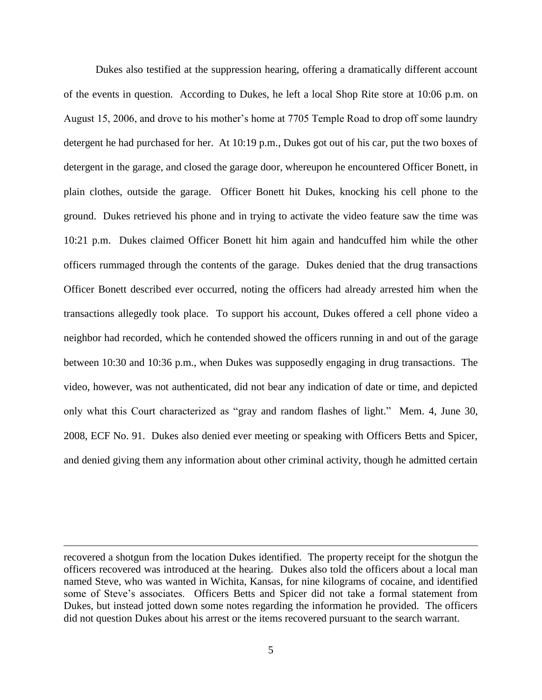Dukes also testified at the suppression hearing, offering a dramatically different account of the events in question. According to Dukes, he left a local Shop Rite store at 10:06 p.m. on August 15, 2006, and drove to his mother's home at 7705 Temple Road to drop off some laundry detergent he had purchased for her. At 10:19 p.m., Dukes got out of his car, put the two boxes of detergent in the garage, and closed the garage door, whereupon he encountered Officer Bonett, in plain clothes, outside the garage. Officer Bonett hit Dukes, knocking his cell phone to the ground. Dukes retrieved his phone and in trying to activate the video feature saw the time was 10:21 p.m. Dukes claimed Officer Bonett hit him again and handcuffed him while the other officers rummaged through the contents of the garage. Dukes denied that the drug transactions Officer Bonett described ever occurred, noting the officers had already arrested him when the transactions allegedly took place. To support his account, Dukes offered a cell phone video a neighbor had recorded, which he contended showed the officers running in and out of the garage between 10:30 and 10:36 p.m., when Dukes was supposedly engaging in drug transactions. The video, however, was not authenticated, did not bear any indication of date or time, and depicted only what this Court characterized as "gray and random flashes of light." Mem. 4, June 30, 2008, ECF No. 91. Dukes also denied ever meeting or speaking with Officers Betts and Spicer, and denied giving them any information about other criminal activity, though he admitted certain

recovered a shotgun from the location Dukes identified. The property receipt for the shotgun the officers recovered was introduced at the hearing. Dukes also told the officers about a local man named Steve, who was wanted in Wichita, Kansas, for nine kilograms of cocaine, and identified some of Steve's associates. Officers Betts and Spicer did not take a formal statement from Dukes, but instead jotted down some notes regarding the information he provided. The officers did not question Dukes about his arrest or the items recovered pursuant to the search warrant.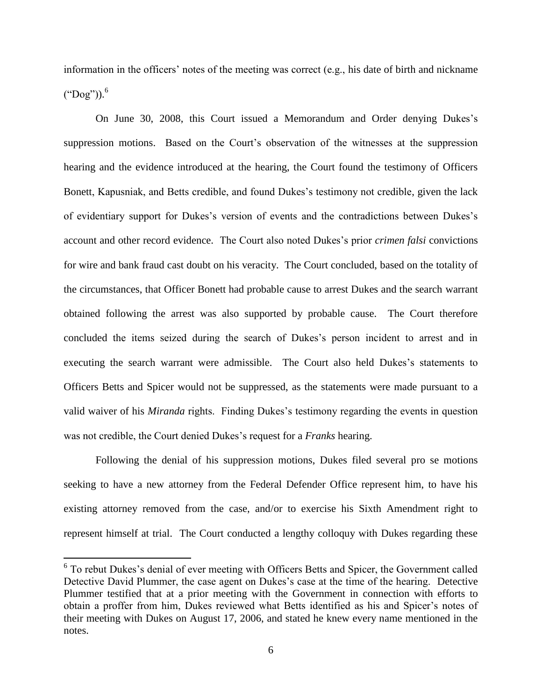information in the officers' notes of the meeting was correct (e.g., his date of birth and nickname  $("Dog"))$ .<sup>6</sup>

On June 30, 2008, this Court issued a Memorandum and Order denying Dukes's suppression motions. Based on the Court's observation of the witnesses at the suppression hearing and the evidence introduced at the hearing, the Court found the testimony of Officers Bonett, Kapusniak, and Betts credible, and found Dukes's testimony not credible, given the lack of evidentiary support for Dukes's version of events and the contradictions between Dukes's account and other record evidence. The Court also noted Dukes's prior *crimen falsi* convictions for wire and bank fraud cast doubt on his veracity. The Court concluded, based on the totality of the circumstances, that Officer Bonett had probable cause to arrest Dukes and the search warrant obtained following the arrest was also supported by probable cause. The Court therefore concluded the items seized during the search of Dukes's person incident to arrest and in executing the search warrant were admissible. The Court also held Dukes's statements to Officers Betts and Spicer would not be suppressed, as the statements were made pursuant to a valid waiver of his *Miranda* rights. Finding Dukes's testimony regarding the events in question was not credible, the Court denied Dukes's request for a *Franks* hearing.

Following the denial of his suppression motions, Dukes filed several pro se motions seeking to have a new attorney from the Federal Defender Office represent him, to have his existing attorney removed from the case, and/or to exercise his Sixth Amendment right to represent himself at trial. The Court conducted a lengthy colloquy with Dukes regarding these

<sup>&</sup>lt;sup>6</sup> To rebut Dukes's denial of ever meeting with Officers Betts and Spicer, the Government called Detective David Plummer, the case agent on Dukes's case at the time of the hearing. Detective Plummer testified that at a prior meeting with the Government in connection with efforts to obtain a proffer from him, Dukes reviewed what Betts identified as his and Spicer's notes of their meeting with Dukes on August 17, 2006, and stated he knew every name mentioned in the notes.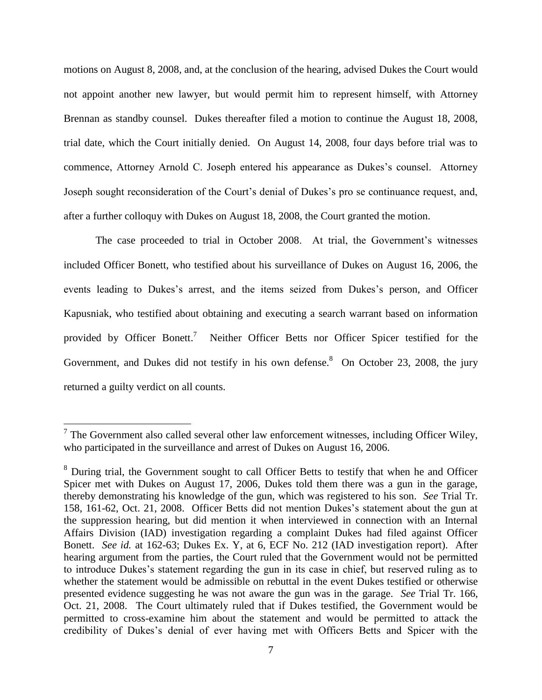motions on August 8, 2008, and, at the conclusion of the hearing, advised Dukes the Court would not appoint another new lawyer, but would permit him to represent himself, with Attorney Brennan as standby counsel. Dukes thereafter filed a motion to continue the August 18, 2008, trial date, which the Court initially denied. On August 14, 2008, four days before trial was to commence, Attorney Arnold C. Joseph entered his appearance as Dukes's counsel. Attorney Joseph sought reconsideration of the Court's denial of Dukes's pro se continuance request, and, after a further colloquy with Dukes on August 18, 2008, the Court granted the motion.

The case proceeded to trial in October 2008. At trial, the Government's witnesses included Officer Bonett, who testified about his surveillance of Dukes on August 16, 2006, the events leading to Dukes's arrest, and the items seized from Dukes's person, and Officer Kapusniak, who testified about obtaining and executing a search warrant based on information provided by Officer Bonett.<sup>7</sup> Neither Officer Betts nor Officer Spicer testified for the Government, and Dukes did not testify in his own defense. <sup>8</sup> On October 23, 2008, the jury returned a guilty verdict on all counts.

<sup>&</sup>lt;sup>7</sup> The Government also called several other law enforcement witnesses, including Officer Wiley, who participated in the surveillance and arrest of Dukes on August 16, 2006.

<sup>&</sup>lt;sup>8</sup> During trial, the Government sought to call Officer Betts to testify that when he and Officer Spicer met with Dukes on August 17, 2006, Dukes told them there was a gun in the garage, thereby demonstrating his knowledge of the gun, which was registered to his son. *See* Trial Tr. 158, 161-62, Oct. 21, 2008. Officer Betts did not mention Dukes's statement about the gun at the suppression hearing, but did mention it when interviewed in connection with an Internal Affairs Division (IAD) investigation regarding a complaint Dukes had filed against Officer Bonett. *See id.* at 162-63; Dukes Ex. Y, at 6, ECF No. 212 (IAD investigation report). After hearing argument from the parties, the Court ruled that the Government would not be permitted to introduce Dukes's statement regarding the gun in its case in chief, but reserved ruling as to whether the statement would be admissible on rebuttal in the event Dukes testified or otherwise presented evidence suggesting he was not aware the gun was in the garage. *See* Trial Tr. 166, Oct. 21, 2008. The Court ultimately ruled that if Dukes testified, the Government would be permitted to cross-examine him about the statement and would be permitted to attack the credibility of Dukes's denial of ever having met with Officers Betts and Spicer with the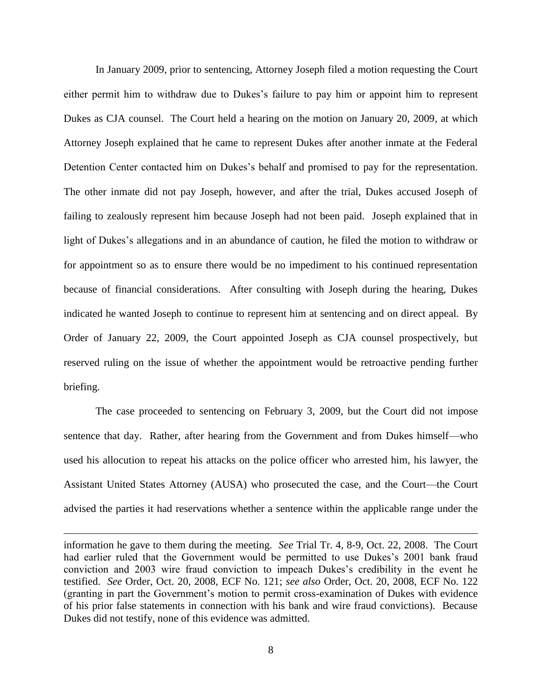In January 2009, prior to sentencing, Attorney Joseph filed a motion requesting the Court either permit him to withdraw due to Dukes's failure to pay him or appoint him to represent Dukes as CJA counsel. The Court held a hearing on the motion on January 20, 2009, at which Attorney Joseph explained that he came to represent Dukes after another inmate at the Federal Detention Center contacted him on Dukes's behalf and promised to pay for the representation. The other inmate did not pay Joseph, however, and after the trial, Dukes accused Joseph of failing to zealously represent him because Joseph had not been paid. Joseph explained that in light of Dukes's allegations and in an abundance of caution, he filed the motion to withdraw or for appointment so as to ensure there would be no impediment to his continued representation because of financial considerations. After consulting with Joseph during the hearing, Dukes indicated he wanted Joseph to continue to represent him at sentencing and on direct appeal. By Order of January 22, 2009, the Court appointed Joseph as CJA counsel prospectively, but reserved ruling on the issue of whether the appointment would be retroactive pending further briefing.

The case proceeded to sentencing on February 3, 2009, but the Court did not impose sentence that day. Rather, after hearing from the Government and from Dukes himself—who used his allocution to repeat his attacks on the police officer who arrested him, his lawyer, the Assistant United States Attorney (AUSA) who prosecuted the case, and the Court—the Court advised the parties it had reservations whether a sentence within the applicable range under the

information he gave to them during the meeting. *See* Trial Tr. 4, 8-9, Oct. 22, 2008. The Court had earlier ruled that the Government would be permitted to use Dukes's 2001 bank fraud conviction and 2003 wire fraud conviction to impeach Dukes's credibility in the event he testified. *See* Order, Oct. 20, 2008, ECF No. 121; *see also* Order, Oct. 20, 2008, ECF No. 122 (granting in part the Government's motion to permit cross-examination of Dukes with evidence of his prior false statements in connection with his bank and wire fraud convictions). Because Dukes did not testify, none of this evidence was admitted.

 $\overline{a}$ 

8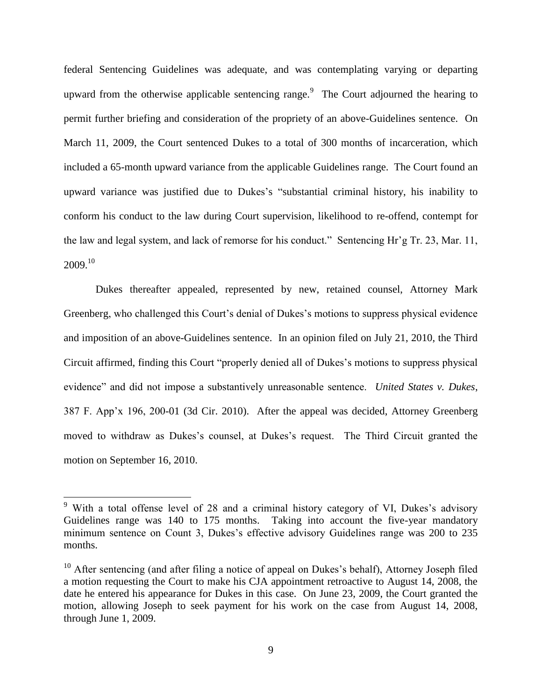federal Sentencing Guidelines was adequate, and was contemplating varying or departing upward from the otherwise applicable sentencing range. $9$  The Court adjourned the hearing to permit further briefing and consideration of the propriety of an above-Guidelines sentence. On March 11, 2009, the Court sentenced Dukes to a total of 300 months of incarceration, which included a 65-month upward variance from the applicable Guidelines range. The Court found an upward variance was justified due to Dukes's "substantial criminal history, his inability to conform his conduct to the law during Court supervision, likelihood to re-offend, contempt for the law and legal system, and lack of remorse for his conduct." Sentencing Hr'g Tr. 23, Mar. 11,  $2009.<sup>10</sup>$ 

Dukes thereafter appealed, represented by new, retained counsel, Attorney Mark Greenberg, who challenged this Court's denial of Dukes's motions to suppress physical evidence and imposition of an above-Guidelines sentence. In an opinion filed on July 21, 2010, the Third Circuit affirmed, finding this Court "properly denied all of Dukes's motions to suppress physical evidence" and did not impose a substantively unreasonable sentence. *United States v. Dukes*, 387 F. App'x 196, 200-01 (3d Cir. 2010). After the appeal was decided, Attorney Greenberg moved to withdraw as Dukes's counsel, at Dukes's request. The Third Circuit granted the motion on September 16, 2010.

 $9$  With a total offense level of 28 and a criminal history category of VI, Dukes's advisory Guidelines range was 140 to 175 months. Taking into account the five-year mandatory minimum sentence on Count 3, Dukes's effective advisory Guidelines range was 200 to 235 months.

 $10$  After sentencing (and after filing a notice of appeal on Dukes's behalf), Attorney Joseph filed a motion requesting the Court to make his CJA appointment retroactive to August 14, 2008, the date he entered his appearance for Dukes in this case. On June 23, 2009, the Court granted the motion, allowing Joseph to seek payment for his work on the case from August 14, 2008, through June 1, 2009.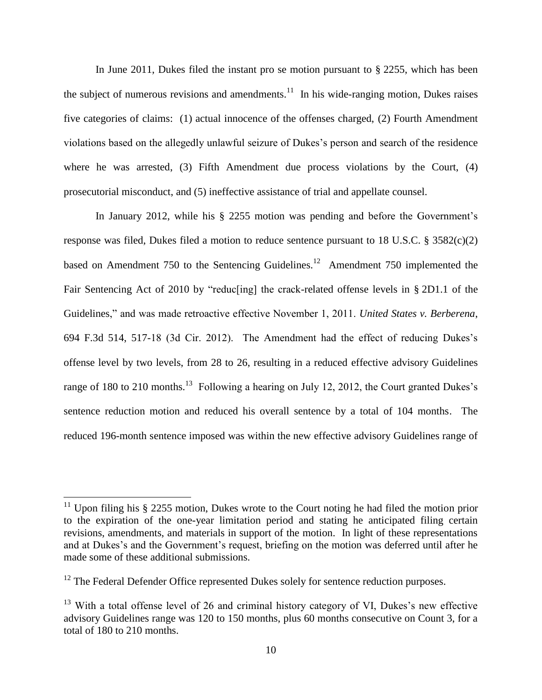In June 2011, Dukes filed the instant pro se motion pursuant to § 2255, which has been the subject of numerous revisions and amendments.<sup>11</sup> In his wide-ranging motion, Dukes raises five categories of claims: (1) actual innocence of the offenses charged, (2) Fourth Amendment violations based on the allegedly unlawful seizure of Dukes's person and search of the residence where he was arrested, (3) Fifth Amendment due process violations by the Court, (4) prosecutorial misconduct, and (5) ineffective assistance of trial and appellate counsel.

In January 2012, while his § 2255 motion was pending and before the Government's response was filed, Dukes filed a motion to reduce sentence pursuant to 18 U.S.C. § 3582(c)(2) based on Amendment 750 to the Sentencing Guidelines.<sup>12</sup> Amendment 750 implemented the Fair Sentencing Act of 2010 by "reducting] the crack-related offense levels in § 2D1.1 of the Guidelines," and was made retroactive effective November 1, 2011. *United States v. Berberena*, 694 F.3d 514, 517-18 (3d Cir. 2012). The Amendment had the effect of reducing Dukes's offense level by two levels, from 28 to 26, resulting in a reduced effective advisory Guidelines range of 180 to 210 months.<sup>13</sup> Following a hearing on July 12, 2012, the Court granted Dukes's sentence reduction motion and reduced his overall sentence by a total of 104 months. The reduced 196-month sentence imposed was within the new effective advisory Guidelines range of

<sup>&</sup>lt;sup>11</sup> Upon filing his  $\S$  2255 motion, Dukes wrote to the Court noting he had filed the motion prior to the expiration of the one-year limitation period and stating he anticipated filing certain revisions, amendments, and materials in support of the motion. In light of these representations and at Dukes's and the Government's request, briefing on the motion was deferred until after he made some of these additional submissions.

<sup>&</sup>lt;sup>12</sup> The Federal Defender Office represented Dukes solely for sentence reduction purposes.

 $13$  With a total offense level of 26 and criminal history category of VI, Dukes's new effective advisory Guidelines range was 120 to 150 months, plus 60 months consecutive on Count 3, for a total of 180 to 210 months.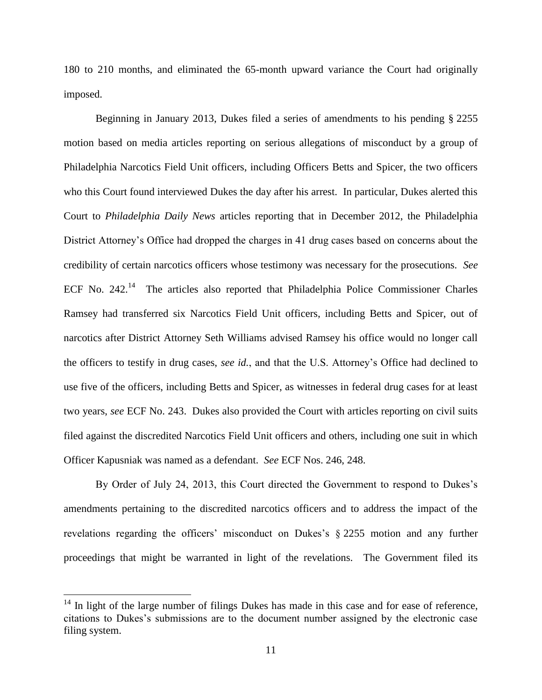180 to 210 months, and eliminated the 65-month upward variance the Court had originally imposed.

Beginning in January 2013, Dukes filed a series of amendments to his pending § 2255 motion based on media articles reporting on serious allegations of misconduct by a group of Philadelphia Narcotics Field Unit officers, including Officers Betts and Spicer, the two officers who this Court found interviewed Dukes the day after his arrest. In particular, Dukes alerted this Court to *Philadelphia Daily News* articles reporting that in December 2012, the Philadelphia District Attorney's Office had dropped the charges in 41 drug cases based on concerns about the credibility of certain narcotics officers whose testimony was necessary for the prosecutions. *See* ECF No. 242.<sup>14</sup> The articles also reported that Philadelphia Police Commissioner Charles Ramsey had transferred six Narcotics Field Unit officers, including Betts and Spicer, out of narcotics after District Attorney Seth Williams advised Ramsey his office would no longer call the officers to testify in drug cases, *see id.*, and that the U.S. Attorney's Office had declined to use five of the officers, including Betts and Spicer, as witnesses in federal drug cases for at least two years, *see* ECF No. 243. Dukes also provided the Court with articles reporting on civil suits filed against the discredited Narcotics Field Unit officers and others, including one suit in which Officer Kapusniak was named as a defendant. *See* ECF Nos. 246, 248.

By Order of July 24, 2013, this Court directed the Government to respond to Dukes's amendments pertaining to the discredited narcotics officers and to address the impact of the revelations regarding the officers' misconduct on Dukes's § 2255 motion and any further proceedings that might be warranted in light of the revelations. The Government filed its

 $14$  In light of the large number of filings Dukes has made in this case and for ease of reference, citations to Dukes's submissions are to the document number assigned by the electronic case filing system.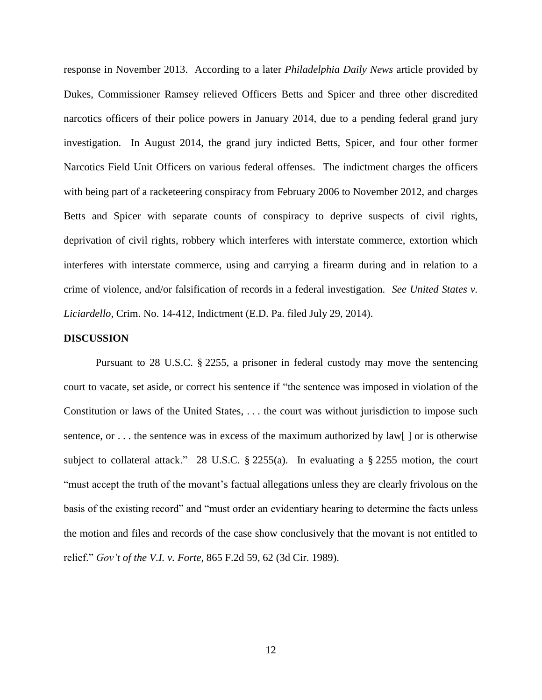response in November 2013. According to a later *Philadelphia Daily News* article provided by Dukes, Commissioner Ramsey relieved Officers Betts and Spicer and three other discredited narcotics officers of their police powers in January 2014, due to a pending federal grand jury investigation. In August 2014, the grand jury indicted Betts, Spicer, and four other former Narcotics Field Unit Officers on various federal offenses. The indictment charges the officers with being part of a racketeering conspiracy from February 2006 to November 2012, and charges Betts and Spicer with separate counts of conspiracy to deprive suspects of civil rights, deprivation of civil rights, robbery which interferes with interstate commerce, extortion which interferes with interstate commerce, using and carrying a firearm during and in relation to a crime of violence, and/or falsification of records in a federal investigation. *See United States v. Liciardello*, Crim. No. 14-412, Indictment (E.D. Pa. filed July 29, 2014).

#### **DISCUSSION**

Pursuant to 28 U.S.C. § 2255, a prisoner in federal custody may move the sentencing court to vacate, set aside, or correct his sentence if "the sentence was imposed in violation of the Constitution or laws of the United States, . . . the court was without jurisdiction to impose such sentence, or  $\dots$  the sentence was in excess of the maximum authorized by law  $\lceil \cdot \rceil$  or is otherwise subject to collateral attack." 28 U.S.C. § 2255(a). In evaluating a § 2255 motion, the court "must accept the truth of the movant's factual allegations unless they are clearly frivolous on the basis of the existing record" and "must order an evidentiary hearing to determine the facts unless the motion and files and records of the case show conclusively that the movant is not entitled to relief." *Gov't of the V.I. v. Forte*, 865 F.2d 59, 62 (3d Cir. 1989).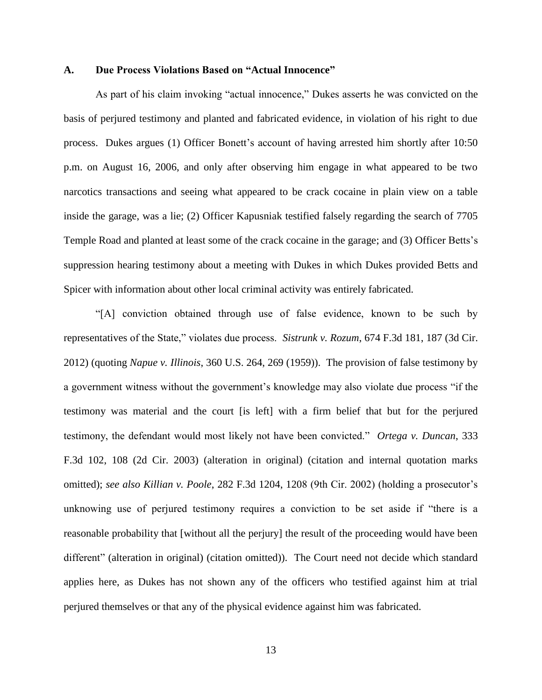#### **A. Due Process Violations Based on "Actual Innocence"**

As part of his claim invoking "actual innocence," Dukes asserts he was convicted on the basis of perjured testimony and planted and fabricated evidence, in violation of his right to due process. Dukes argues (1) Officer Bonett's account of having arrested him shortly after 10:50 p.m. on August 16, 2006, and only after observing him engage in what appeared to be two narcotics transactions and seeing what appeared to be crack cocaine in plain view on a table inside the garage, was a lie; (2) Officer Kapusniak testified falsely regarding the search of 7705 Temple Road and planted at least some of the crack cocaine in the garage; and (3) Officer Betts's suppression hearing testimony about a meeting with Dukes in which Dukes provided Betts and Spicer with information about other local criminal activity was entirely fabricated.

"[A] conviction obtained through use of false evidence, known to be such by representatives of the State," violates due process. *Sistrunk v. Rozum*, 674 F.3d 181, 187 (3d Cir. 2012) (quoting *Napue v. Illinois*, 360 U.S. 264, 269 (1959)). The provision of false testimony by a government witness without the government's knowledge may also violate due process "if the testimony was material and the court [is left] with a firm belief that but for the perjured testimony, the defendant would most likely not have been convicted." *Ortega v. Duncan*, 333 F.3d 102, 108 (2d Cir. 2003) (alteration in original) (citation and internal quotation marks omitted); *see also Killian v. Poole*, 282 F.3d 1204, 1208 (9th Cir. 2002) (holding a prosecutor's unknowing use of perjured testimony requires a conviction to be set aside if "there is a reasonable probability that [without all the perjury] the result of the proceeding would have been different" (alteration in original) (citation omitted)). The Court need not decide which standard applies here, as Dukes has not shown any of the officers who testified against him at trial perjured themselves or that any of the physical evidence against him was fabricated.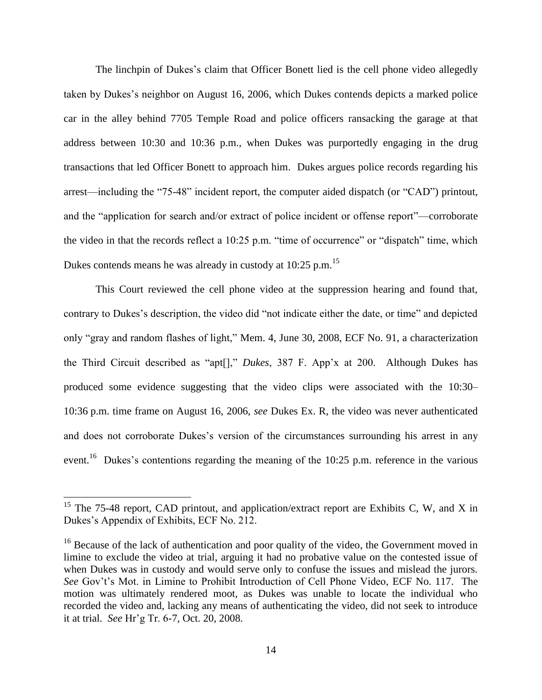The linchpin of Dukes's claim that Officer Bonett lied is the cell phone video allegedly taken by Dukes's neighbor on August 16, 2006, which Dukes contends depicts a marked police car in the alley behind 7705 Temple Road and police officers ransacking the garage at that address between 10:30 and 10:36 p.m., when Dukes was purportedly engaging in the drug transactions that led Officer Bonett to approach him. Dukes argues police records regarding his arrest—including the "75-48" incident report, the computer aided dispatch (or "CAD") printout, and the "application for search and/or extract of police incident or offense report"—corroborate the video in that the records reflect a 10:25 p.m. "time of occurrence" or "dispatch" time, which Dukes contends means he was already in custody at  $10:25$  p.m.<sup>15</sup>

This Court reviewed the cell phone video at the suppression hearing and found that, contrary to Dukes's description, the video did "not indicate either the date, or time" and depicted only "gray and random flashes of light," Mem. 4, June 30, 2008, ECF No. 91, a characterization the Third Circuit described as "apt[]," *Dukes*, 387 F. App'x at 200. Although Dukes has produced some evidence suggesting that the video clips were associated with the 10:30– 10:36 p.m. time frame on August 16, 2006, *see* Dukes Ex. R, the video was never authenticated and does not corroborate Dukes's version of the circumstances surrounding his arrest in any event.<sup>16</sup> Dukes's contentions regarding the meaning of the 10:25 p.m. reference in the various

<sup>&</sup>lt;sup>15</sup> The 75-48 report, CAD printout, and application/extract report are Exhibits C, W, and X in Dukes's Appendix of Exhibits, ECF No. 212.

 $16$  Because of the lack of authentication and poor quality of the video, the Government moved in limine to exclude the video at trial, arguing it had no probative value on the contested issue of when Dukes was in custody and would serve only to confuse the issues and mislead the jurors. *See* Gov't's Mot. in Limine to Prohibit Introduction of Cell Phone Video, ECF No. 117. The motion was ultimately rendered moot, as Dukes was unable to locate the individual who recorded the video and, lacking any means of authenticating the video, did not seek to introduce it at trial. *See* Hr'g Tr. 6-7, Oct. 20, 2008.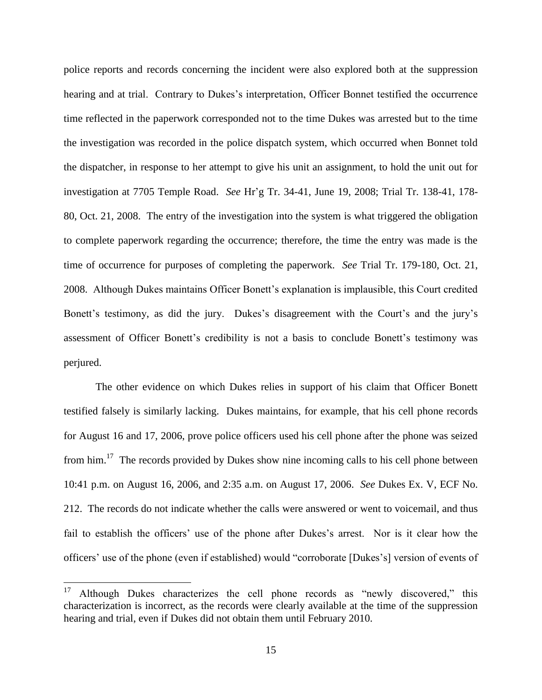police reports and records concerning the incident were also explored both at the suppression hearing and at trial. Contrary to Dukes's interpretation, Officer Bonnet testified the occurrence time reflected in the paperwork corresponded not to the time Dukes was arrested but to the time the investigation was recorded in the police dispatch system, which occurred when Bonnet told the dispatcher, in response to her attempt to give his unit an assignment, to hold the unit out for investigation at 7705 Temple Road. *See* Hr'g Tr. 34-41, June 19, 2008; Trial Tr. 138-41, 178- 80, Oct. 21, 2008. The entry of the investigation into the system is what triggered the obligation to complete paperwork regarding the occurrence; therefore, the time the entry was made is the time of occurrence for purposes of completing the paperwork. *See* Trial Tr. 179-180, Oct. 21, 2008. Although Dukes maintains Officer Bonett's explanation is implausible, this Court credited Bonett's testimony, as did the jury. Dukes's disagreement with the Court's and the jury's assessment of Officer Bonett's credibility is not a basis to conclude Bonett's testimony was perjured.

The other evidence on which Dukes relies in support of his claim that Officer Bonett testified falsely is similarly lacking. Dukes maintains, for example, that his cell phone records for August 16 and 17, 2006, prove police officers used his cell phone after the phone was seized from him.<sup>17</sup> The records provided by Dukes show nine incoming calls to his cell phone between 10:41 p.m. on August 16, 2006, and 2:35 a.m. on August 17, 2006. *See* Dukes Ex. V, ECF No. 212. The records do not indicate whether the calls were answered or went to voicemail, and thus fail to establish the officers' use of the phone after Dukes's arrest. Nor is it clear how the officers' use of the phone (even if established) would "corroborate [Dukes's] version of events of

<sup>&</sup>lt;sup>17</sup> Although Dukes characterizes the cell phone records as "newly discovered," this characterization is incorrect, as the records were clearly available at the time of the suppression hearing and trial, even if Dukes did not obtain them until February 2010.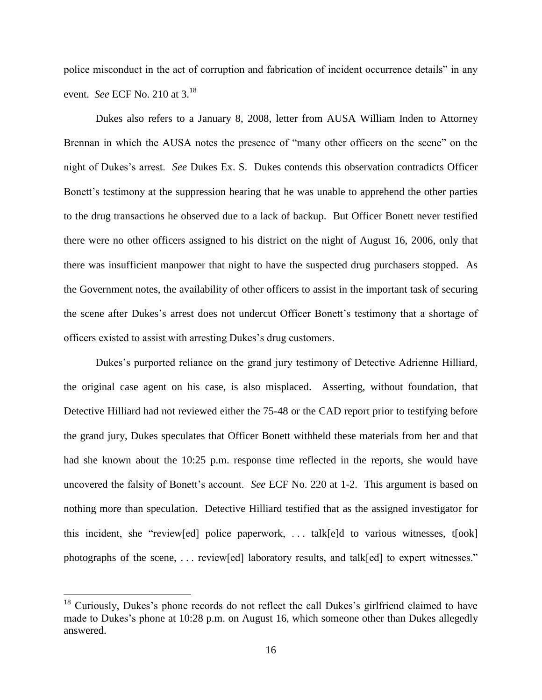police misconduct in the act of corruption and fabrication of incident occurrence details" in any event. *See* ECF No. 210 at 3.<sup>18</sup>

Dukes also refers to a January 8, 2008, letter from AUSA William Inden to Attorney Brennan in which the AUSA notes the presence of "many other officers on the scene" on the night of Dukes's arrest. *See* Dukes Ex. S. Dukes contends this observation contradicts Officer Bonett's testimony at the suppression hearing that he was unable to apprehend the other parties to the drug transactions he observed due to a lack of backup. But Officer Bonett never testified there were no other officers assigned to his district on the night of August 16, 2006, only that there was insufficient manpower that night to have the suspected drug purchasers stopped. As the Government notes, the availability of other officers to assist in the important task of securing the scene after Dukes's arrest does not undercut Officer Bonett's testimony that a shortage of officers existed to assist with arresting Dukes's drug customers.

Dukes's purported reliance on the grand jury testimony of Detective Adrienne Hilliard, the original case agent on his case, is also misplaced. Asserting, without foundation, that Detective Hilliard had not reviewed either the 75-48 or the CAD report prior to testifying before the grand jury, Dukes speculates that Officer Bonett withheld these materials from her and that had she known about the 10:25 p.m. response time reflected in the reports, she would have uncovered the falsity of Bonett's account. *See* ECF No. 220 at 1-2. This argument is based on nothing more than speculation. Detective Hilliard testified that as the assigned investigator for this incident, she "review[ed] police paperwork, . . . talk[e]d to various witnesses, t[ook] photographs of the scene, . . . review[ed] laboratory results, and talk[ed] to expert witnesses."

 $18$  Curiously, Dukes's phone records do not reflect the call Dukes's girlfriend claimed to have made to Dukes's phone at 10:28 p.m. on August 16, which someone other than Dukes allegedly answered.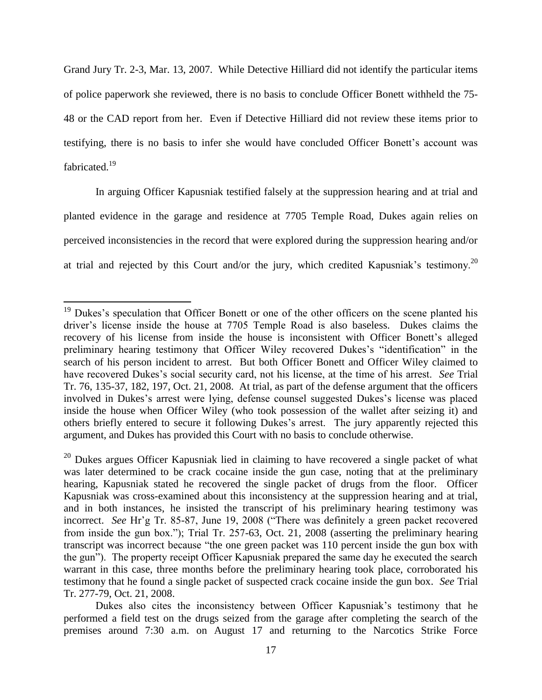Grand Jury Tr. 2-3, Mar. 13, 2007. While Detective Hilliard did not identify the particular items of police paperwork she reviewed, there is no basis to conclude Officer Bonett withheld the 75- 48 or the CAD report from her. Even if Detective Hilliard did not review these items prior to testifying, there is no basis to infer she would have concluded Officer Bonett's account was fabricated.<sup>19</sup>

In arguing Officer Kapusniak testified falsely at the suppression hearing and at trial and planted evidence in the garage and residence at 7705 Temple Road, Dukes again relies on perceived inconsistencies in the record that were explored during the suppression hearing and/or at trial and rejected by this Court and/or the jury, which credited Kapusniak's testimony.<sup>20</sup>

<sup>&</sup>lt;sup>19</sup> Dukes's speculation that Officer Bonett or one of the other officers on the scene planted his driver's license inside the house at 7705 Temple Road is also baseless. Dukes claims the recovery of his license from inside the house is inconsistent with Officer Bonett's alleged preliminary hearing testimony that Officer Wiley recovered Dukes's "identification" in the search of his person incident to arrest. But both Officer Bonett and Officer Wiley claimed to have recovered Dukes's social security card, not his license, at the time of his arrest. *See* Trial Tr. 76, 135-37, 182, 197, Oct. 21, 2008. At trial, as part of the defense argument that the officers involved in Dukes's arrest were lying, defense counsel suggested Dukes's license was placed inside the house when Officer Wiley (who took possession of the wallet after seizing it) and others briefly entered to secure it following Dukes's arrest. The jury apparently rejected this argument, and Dukes has provided this Court with no basis to conclude otherwise.

 $20$  Dukes argues Officer Kapusniak lied in claiming to have recovered a single packet of what was later determined to be crack cocaine inside the gun case, noting that at the preliminary hearing, Kapusniak stated he recovered the single packet of drugs from the floor. Officer Kapusniak was cross-examined about this inconsistency at the suppression hearing and at trial, and in both instances, he insisted the transcript of his preliminary hearing testimony was incorrect. *See* Hr'g Tr. 85-87, June 19, 2008 ("There was definitely a green packet recovered from inside the gun box."); Trial Tr. 257-63, Oct. 21, 2008 (asserting the preliminary hearing transcript was incorrect because "the one green packet was 110 percent inside the gun box with the gun"). The property receipt Officer Kapusniak prepared the same day he executed the search warrant in this case, three months before the preliminary hearing took place, corroborated his testimony that he found a single packet of suspected crack cocaine inside the gun box. *See* Trial Tr. 277-79, Oct. 21, 2008.

Dukes also cites the inconsistency between Officer Kapusniak's testimony that he performed a field test on the drugs seized from the garage after completing the search of the premises around 7:30 a.m. on August 17 and returning to the Narcotics Strike Force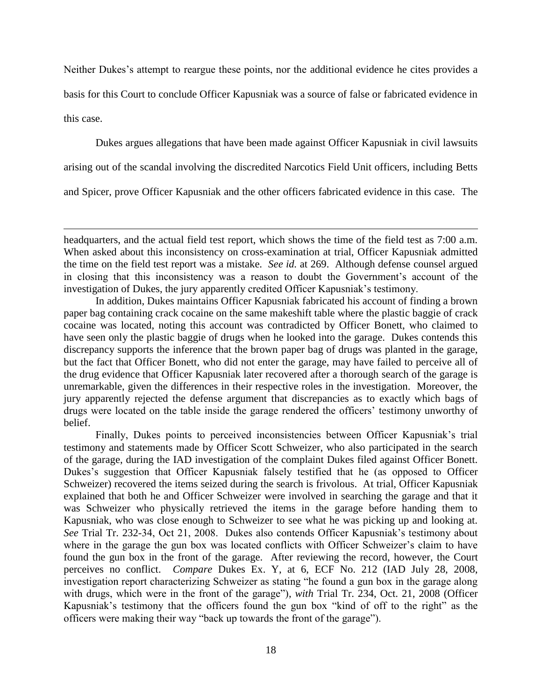Neither Dukes's attempt to reargue these points, nor the additional evidence he cites provides a basis for this Court to conclude Officer Kapusniak was a source of false or fabricated evidence in this case.

Dukes argues allegations that have been made against Officer Kapusniak in civil lawsuits

arising out of the scandal involving the discredited Narcotics Field Unit officers, including Betts

and Spicer, prove Officer Kapusniak and the other officers fabricated evidence in this case. The

 $\overline{a}$ 

In addition, Dukes maintains Officer Kapusniak fabricated his account of finding a brown paper bag containing crack cocaine on the same makeshift table where the plastic baggie of crack cocaine was located, noting this account was contradicted by Officer Bonett, who claimed to have seen only the plastic baggie of drugs when he looked into the garage. Dukes contends this discrepancy supports the inference that the brown paper bag of drugs was planted in the garage, but the fact that Officer Bonett, who did not enter the garage, may have failed to perceive all of the drug evidence that Officer Kapusniak later recovered after a thorough search of the garage is unremarkable, given the differences in their respective roles in the investigation. Moreover, the jury apparently rejected the defense argument that discrepancies as to exactly which bags of drugs were located on the table inside the garage rendered the officers' testimony unworthy of belief.

Finally, Dukes points to perceived inconsistencies between Officer Kapusniak's trial testimony and statements made by Officer Scott Schweizer, who also participated in the search of the garage, during the IAD investigation of the complaint Dukes filed against Officer Bonett. Dukes's suggestion that Officer Kapusniak falsely testified that he (as opposed to Officer Schweizer) recovered the items seized during the search is frivolous. At trial, Officer Kapusniak explained that both he and Officer Schweizer were involved in searching the garage and that it was Schweizer who physically retrieved the items in the garage before handing them to Kapusniak, who was close enough to Schweizer to see what he was picking up and looking at. *See* Trial Tr. 232-34, Oct 21, 2008. Dukes also contends Officer Kapusniak's testimony about where in the garage the gun box was located conflicts with Officer Schweizer's claim to have found the gun box in the front of the garage. After reviewing the record, however, the Court perceives no conflict. *Compare* Dukes Ex. Y, at 6, ECF No. 212 (IAD July 28, 2008, investigation report characterizing Schweizer as stating "he found a gun box in the garage along with drugs, which were in the front of the garage"), *with* Trial Tr. 234, Oct. 21, 2008 (Officer Kapusniak's testimony that the officers found the gun box "kind of off to the right" as the officers were making their way "back up towards the front of the garage").

headquarters, and the actual field test report, which shows the time of the field test as 7:00 a.m. When asked about this inconsistency on cross-examination at trial, Officer Kapusniak admitted the time on the field test report was a mistake. *See id.* at 269. Although defense counsel argued in closing that this inconsistency was a reason to doubt the Government's account of the investigation of Dukes, the jury apparently credited Officer Kapusniak's testimony.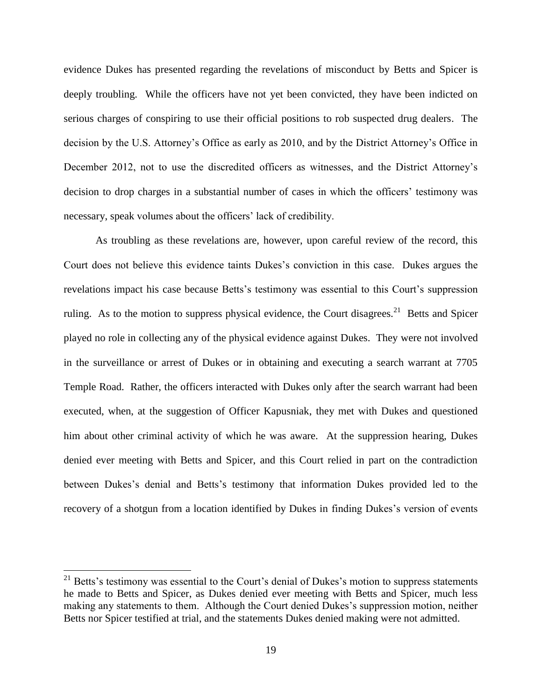evidence Dukes has presented regarding the revelations of misconduct by Betts and Spicer is deeply troubling. While the officers have not yet been convicted, they have been indicted on serious charges of conspiring to use their official positions to rob suspected drug dealers. The decision by the U.S. Attorney's Office as early as 2010, and by the District Attorney's Office in December 2012, not to use the discredited officers as witnesses, and the District Attorney's decision to drop charges in a substantial number of cases in which the officers' testimony was necessary, speak volumes about the officers' lack of credibility.

As troubling as these revelations are, however, upon careful review of the record, this Court does not believe this evidence taints Dukes's conviction in this case. Dukes argues the revelations impact his case because Betts's testimony was essential to this Court's suppression ruling. As to the motion to suppress physical evidence, the Court disagrees.<sup>21</sup> Betts and Spicer played no role in collecting any of the physical evidence against Dukes. They were not involved in the surveillance or arrest of Dukes or in obtaining and executing a search warrant at 7705 Temple Road. Rather, the officers interacted with Dukes only after the search warrant had been executed, when, at the suggestion of Officer Kapusniak, they met with Dukes and questioned him about other criminal activity of which he was aware. At the suppression hearing, Dukes denied ever meeting with Betts and Spicer, and this Court relied in part on the contradiction between Dukes's denial and Betts's testimony that information Dukes provided led to the recovery of a shotgun from a location identified by Dukes in finding Dukes's version of events

 $21$  Betts's testimony was essential to the Court's denial of Dukes's motion to suppress statements he made to Betts and Spicer, as Dukes denied ever meeting with Betts and Spicer, much less making any statements to them. Although the Court denied Dukes's suppression motion, neither Betts nor Spicer testified at trial, and the statements Dukes denied making were not admitted.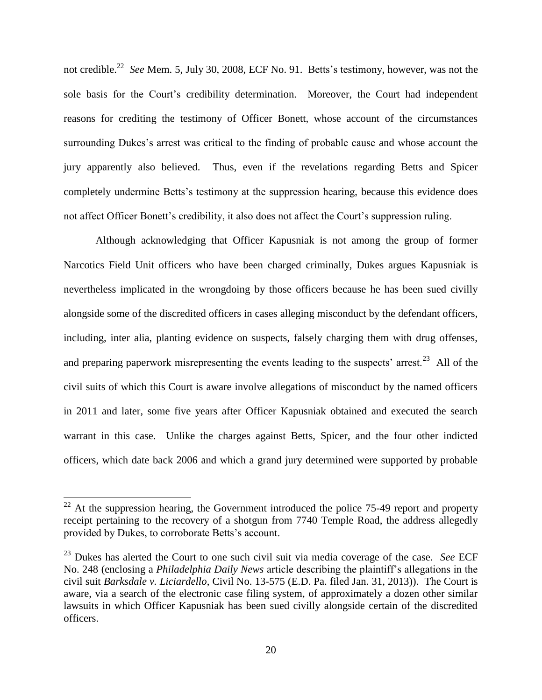not credible. 22 *See* Mem. 5, July 30, 2008, ECF No. 91. Betts's testimony, however, was not the sole basis for the Court's credibility determination. Moreover, the Court had independent reasons for crediting the testimony of Officer Bonett, whose account of the circumstances surrounding Dukes's arrest was critical to the finding of probable cause and whose account the jury apparently also believed. Thus, even if the revelations regarding Betts and Spicer completely undermine Betts's testimony at the suppression hearing, because this evidence does not affect Officer Bonett's credibility, it also does not affect the Court's suppression ruling.

Although acknowledging that Officer Kapusniak is not among the group of former Narcotics Field Unit officers who have been charged criminally, Dukes argues Kapusniak is nevertheless implicated in the wrongdoing by those officers because he has been sued civilly alongside some of the discredited officers in cases alleging misconduct by the defendant officers, including, inter alia, planting evidence on suspects, falsely charging them with drug offenses, and preparing paperwork misrepresenting the events leading to the suspects' arrest.<sup>23</sup> All of the civil suits of which this Court is aware involve allegations of misconduct by the named officers in 2011 and later, some five years after Officer Kapusniak obtained and executed the search warrant in this case. Unlike the charges against Betts, Spicer, and the four other indicted officers, which date back 2006 and which a grand jury determined were supported by probable

 $22$  At the suppression hearing, the Government introduced the police 75-49 report and property receipt pertaining to the recovery of a shotgun from 7740 Temple Road, the address allegedly provided by Dukes, to corroborate Betts's account.

<sup>&</sup>lt;sup>23</sup> Dukes has alerted the Court to one such civil suit via media coverage of the case. *See* ECF No. 248 (enclosing a *Philadelphia Daily News* article describing the plaintiff's allegations in the civil suit *Barksdale v. Liciardello*, Civil No. 13-575 (E.D. Pa. filed Jan. 31, 2013)). The Court is aware, via a search of the electronic case filing system, of approximately a dozen other similar lawsuits in which Officer Kapusniak has been sued civilly alongside certain of the discredited officers.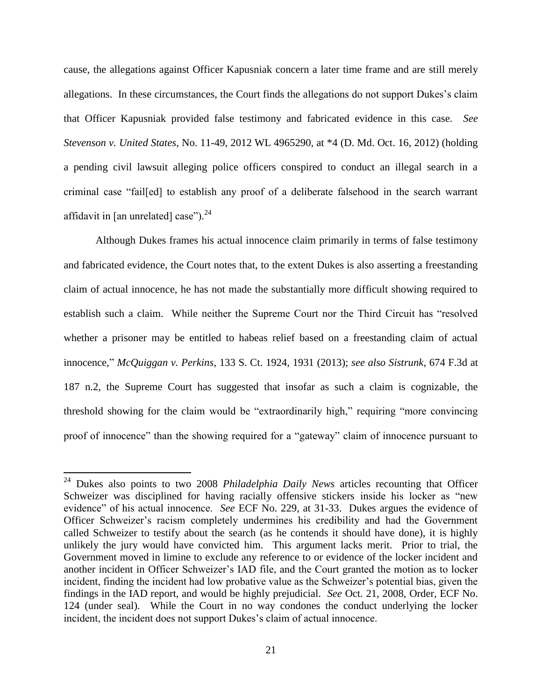cause, the allegations against Officer Kapusniak concern a later time frame and are still merely allegations. In these circumstances, the Court finds the allegations do not support Dukes's claim that Officer Kapusniak provided false testimony and fabricated evidence in this case. *See Stevenson v. United States*, No. 11-49, 2012 WL 4965290, at \*4 (D. Md. Oct. 16, 2012) (holding a pending civil lawsuit alleging police officers conspired to conduct an illegal search in a criminal case "fail[ed] to establish any proof of a deliberate falsehood in the search warrant affidavit in [an unrelated] case"). $^{24}$ 

Although Dukes frames his actual innocence claim primarily in terms of false testimony and fabricated evidence, the Court notes that, to the extent Dukes is also asserting a freestanding claim of actual innocence, he has not made the substantially more difficult showing required to establish such a claim. While neither the Supreme Court nor the Third Circuit has "resolved whether a prisoner may be entitled to habeas relief based on a freestanding claim of actual innocence," *McQuiggan v. Perkins*, 133 S. Ct. 1924, 1931 (2013); *see also Sistrunk*, 674 F.3d at 187 n.2, the Supreme Court has suggested that insofar as such a claim is cognizable, the threshold showing for the claim would be "extraordinarily high," requiring "more convincing proof of innocence" than the showing required for a "gateway" claim of innocence pursuant to

<sup>24</sup> Dukes also points to two 2008 *Philadelphia Daily News* articles recounting that Officer Schweizer was disciplined for having racially offensive stickers inside his locker as "new evidence" of his actual innocence. *See* ECF No. 229, at 31-33. Dukes argues the evidence of Officer Schweizer's racism completely undermines his credibility and had the Government called Schweizer to testify about the search (as he contends it should have done), it is highly unlikely the jury would have convicted him. This argument lacks merit. Prior to trial, the Government moved in limine to exclude any reference to or evidence of the locker incident and another incident in Officer Schweizer's IAD file, and the Court granted the motion as to locker incident, finding the incident had low probative value as the Schweizer's potential bias, given the findings in the IAD report, and would be highly prejudicial. *See* Oct. 21, 2008, Order, ECF No. 124 (under seal). While the Court in no way condones the conduct underlying the locker incident, the incident does not support Dukes's claim of actual innocence.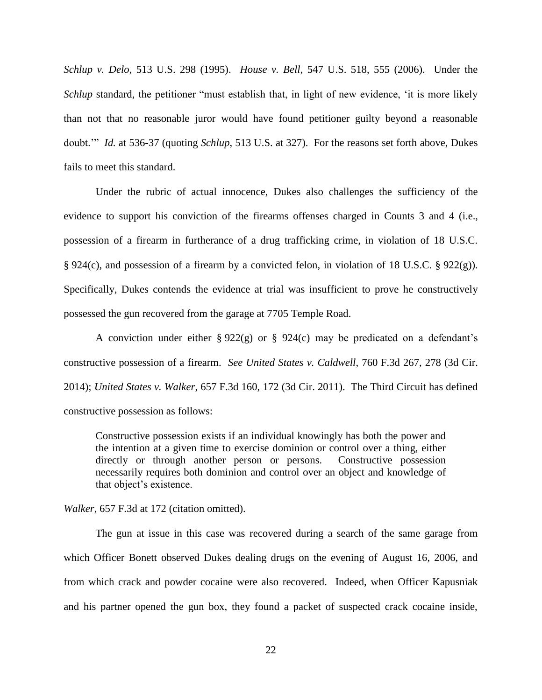*Schlup v. Delo*, 513 U.S. 298 (1995). *House v. Bell*, 547 U.S. 518, 555 (2006). Under the *Schlup* standard, the petitioner "must establish that, in light of new evidence, 'it is more likely than not that no reasonable juror would have found petitioner guilty beyond a reasonable doubt.'" *Id.* at 536-37 (quoting *Schlup*, 513 U.S. at 327). For the reasons set forth above, Dukes fails to meet this standard.

Under the rubric of actual innocence, Dukes also challenges the sufficiency of the evidence to support his conviction of the firearms offenses charged in Counts 3 and 4 (i.e., possession of a firearm in furtherance of a drug trafficking crime, in violation of 18 U.S.C. § 924(c), and possession of a firearm by a convicted felon, in violation of 18 U.S.C. § 922(g)). Specifically, Dukes contends the evidence at trial was insufficient to prove he constructively possessed the gun recovered from the garage at 7705 Temple Road.

A conviction under either § 922(g) or § 924(c) may be predicated on a defendant's constructive possession of a firearm. *See United States v. Caldwell*, 760 F.3d 267, 278 (3d Cir. 2014); *United States v. Walker*, 657 F.3d 160, 172 (3d Cir. 2011). The Third Circuit has defined constructive possession as follows:

Constructive possession exists if an individual knowingly has both the power and the intention at a given time to exercise dominion or control over a thing, either directly or through another person or persons. Constructive possession necessarily requires both dominion and control over an object and knowledge of that object's existence.

*Walker*, 657 F.3d at 172 (citation omitted).

The gun at issue in this case was recovered during a search of the same garage from which Officer Bonett observed Dukes dealing drugs on the evening of August 16, 2006, and from which crack and powder cocaine were also recovered. Indeed, when Officer Kapusniak and his partner opened the gun box, they found a packet of suspected crack cocaine inside,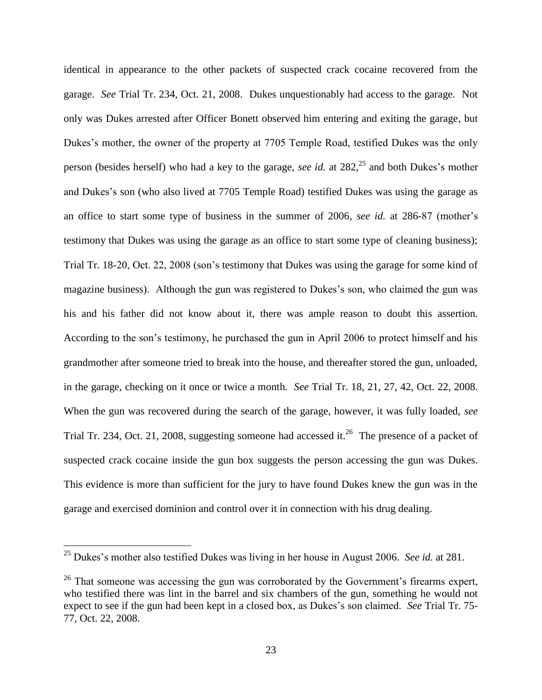identical in appearance to the other packets of suspected crack cocaine recovered from the garage. *See* Trial Tr. 234, Oct. 21, 2008. Dukes unquestionably had access to the garage. Not only was Dukes arrested after Officer Bonett observed him entering and exiting the garage, but Dukes's mother, the owner of the property at 7705 Temple Road, testified Dukes was the only person (besides herself) who had a key to the garage, *see id.* at 282, <sup>25</sup> and both Dukes's mother and Dukes's son (who also lived at 7705 Temple Road) testified Dukes was using the garage as an office to start some type of business in the summer of 2006, *see id.* at 286-87 (mother's testimony that Dukes was using the garage as an office to start some type of cleaning business); Trial Tr. 18-20, Oct. 22, 2008 (son's testimony that Dukes was using the garage for some kind of magazine business). Although the gun was registered to Dukes's son, who claimed the gun was his and his father did not know about it, there was ample reason to doubt this assertion. According to the son's testimony, he purchased the gun in April 2006 to protect himself and his grandmother after someone tried to break into the house, and thereafter stored the gun, unloaded, in the garage, checking on it once or twice a month. *See* Trial Tr. 18, 21, 27, 42, Oct. 22, 2008. When the gun was recovered during the search of the garage, however, it was fully loaded, *see* Trial Tr. 234, Oct. 21, 2008, suggesting someone had accessed it.<sup>26</sup> The presence of a packet of suspected crack cocaine inside the gun box suggests the person accessing the gun was Dukes. This evidence is more than sufficient for the jury to have found Dukes knew the gun was in the garage and exercised dominion and control over it in connection with his drug dealing.

<sup>25</sup> Dukes's mother also testified Dukes was living in her house in August 2006. *See id.* at 281.

<sup>&</sup>lt;sup>26</sup> That someone was accessing the gun was corroborated by the Government's firearms expert, who testified there was lint in the barrel and six chambers of the gun, something he would not expect to see if the gun had been kept in a closed box, as Dukes's son claimed. *See* Trial Tr. 75- 77, Oct. 22, 2008.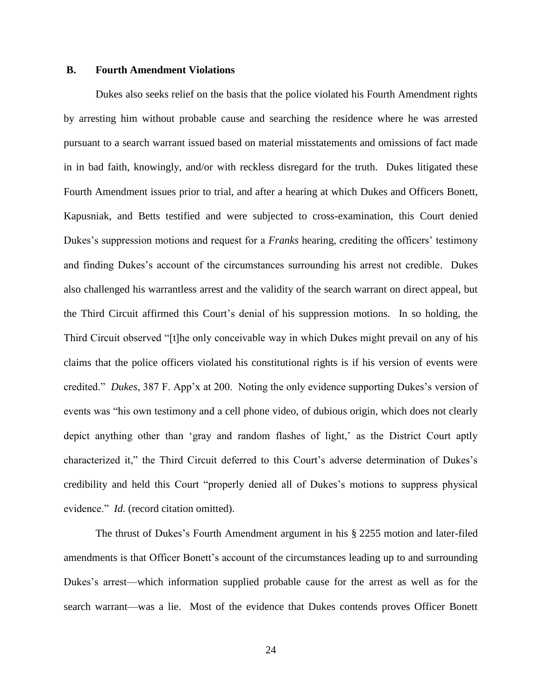#### **B. Fourth Amendment Violations**

Dukes also seeks relief on the basis that the police violated his Fourth Amendment rights by arresting him without probable cause and searching the residence where he was arrested pursuant to a search warrant issued based on material misstatements and omissions of fact made in in bad faith, knowingly, and/or with reckless disregard for the truth. Dukes litigated these Fourth Amendment issues prior to trial, and after a hearing at which Dukes and Officers Bonett, Kapusniak, and Betts testified and were subjected to cross-examination, this Court denied Dukes's suppression motions and request for a *Franks* hearing, crediting the officers' testimony and finding Dukes's account of the circumstances surrounding his arrest not credible. Dukes also challenged his warrantless arrest and the validity of the search warrant on direct appeal, but the Third Circuit affirmed this Court's denial of his suppression motions. In so holding, the Third Circuit observed "[t]he only conceivable way in which Dukes might prevail on any of his claims that the police officers violated his constitutional rights is if his version of events were credited." *Dukes*, 387 F. App'x at 200. Noting the only evidence supporting Dukes's version of events was "his own testimony and a cell phone video, of dubious origin, which does not clearly depict anything other than 'gray and random flashes of light,' as the District Court aptly characterized it," the Third Circuit deferred to this Court's adverse determination of Dukes's credibility and held this Court "properly denied all of Dukes's motions to suppress physical evidence." *Id.* (record citation omitted).

The thrust of Dukes's Fourth Amendment argument in his § 2255 motion and later-filed amendments is that Officer Bonett's account of the circumstances leading up to and surrounding Dukes's arrest—which information supplied probable cause for the arrest as well as for the search warrant—was a lie. Most of the evidence that Dukes contends proves Officer Bonett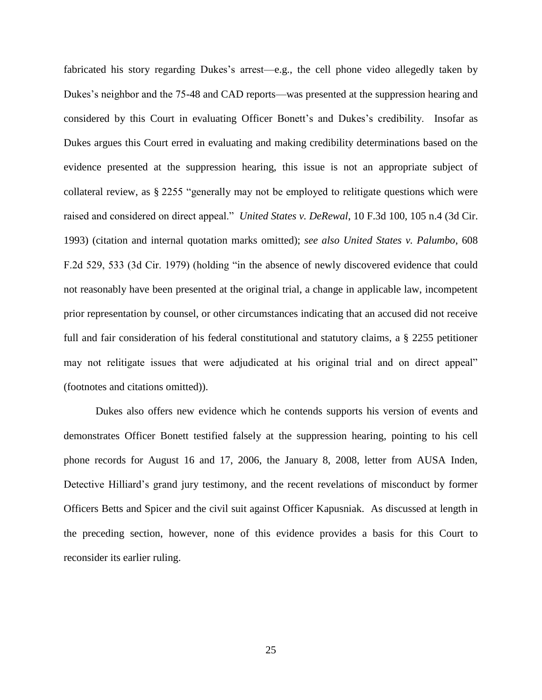fabricated his story regarding Dukes's arrest—e.g., the cell phone video allegedly taken by Dukes's neighbor and the 75-48 and CAD reports—was presented at the suppression hearing and considered by this Court in evaluating Officer Bonett's and Dukes's credibility. Insofar as Dukes argues this Court erred in evaluating and making credibility determinations based on the evidence presented at the suppression hearing, this issue is not an appropriate subject of collateral review, as § 2255 "generally may not be employed to relitigate questions which were raised and considered on direct appeal." *United States v. DeRewal*, 10 F.3d 100, 105 n.4 (3d Cir. 1993) (citation and internal quotation marks omitted); *see also United States v. Palumbo*, 608 F.2d 529, 533 (3d Cir. 1979) (holding "in the absence of newly discovered evidence that could not reasonably have been presented at the original trial, a change in applicable law, incompetent prior representation by counsel, or other circumstances indicating that an accused did not receive full and fair consideration of his federal constitutional and statutory claims, a § 2255 petitioner may not relitigate issues that were adjudicated at his original trial and on direct appeal" (footnotes and citations omitted)).

Dukes also offers new evidence which he contends supports his version of events and demonstrates Officer Bonett testified falsely at the suppression hearing, pointing to his cell phone records for August 16 and 17, 2006, the January 8, 2008, letter from AUSA Inden, Detective Hilliard's grand jury testimony, and the recent revelations of misconduct by former Officers Betts and Spicer and the civil suit against Officer Kapusniak. As discussed at length in the preceding section, however, none of this evidence provides a basis for this Court to reconsider its earlier ruling.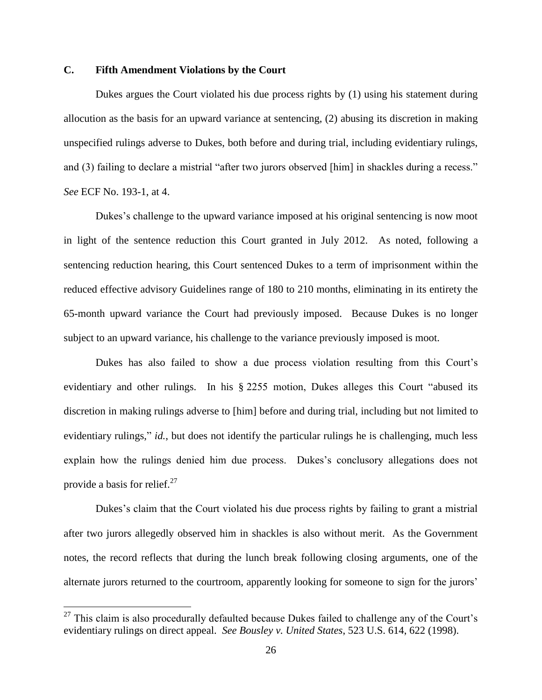# **C. Fifth Amendment Violations by the Court**

Dukes argues the Court violated his due process rights by (1) using his statement during allocution as the basis for an upward variance at sentencing, (2) abusing its discretion in making unspecified rulings adverse to Dukes, both before and during trial, including evidentiary rulings, and (3) failing to declare a mistrial "after two jurors observed [him] in shackles during a recess." *See* ECF No. 193-1, at 4.

Dukes's challenge to the upward variance imposed at his original sentencing is now moot in light of the sentence reduction this Court granted in July 2012. As noted, following a sentencing reduction hearing, this Court sentenced Dukes to a term of imprisonment within the reduced effective advisory Guidelines range of 180 to 210 months, eliminating in its entirety the 65-month upward variance the Court had previously imposed. Because Dukes is no longer subject to an upward variance, his challenge to the variance previously imposed is moot.

Dukes has also failed to show a due process violation resulting from this Court's evidentiary and other rulings. In his § 2255 motion, Dukes alleges this Court "abused its discretion in making rulings adverse to [him] before and during trial, including but not limited to evidentiary rulings," *id.*, but does not identify the particular rulings he is challenging, much less explain how the rulings denied him due process. Dukes's conclusory allegations does not provide a basis for relief. $27$ 

Dukes's claim that the Court violated his due process rights by failing to grant a mistrial after two jurors allegedly observed him in shackles is also without merit. As the Government notes, the record reflects that during the lunch break following closing arguments, one of the alternate jurors returned to the courtroom, apparently looking for someone to sign for the jurors'

 $27$  This claim is also procedurally defaulted because Dukes failed to challenge any of the Court's evidentiary rulings on direct appeal. *See Bousley v. United States*, 523 U.S. 614, 622 (1998).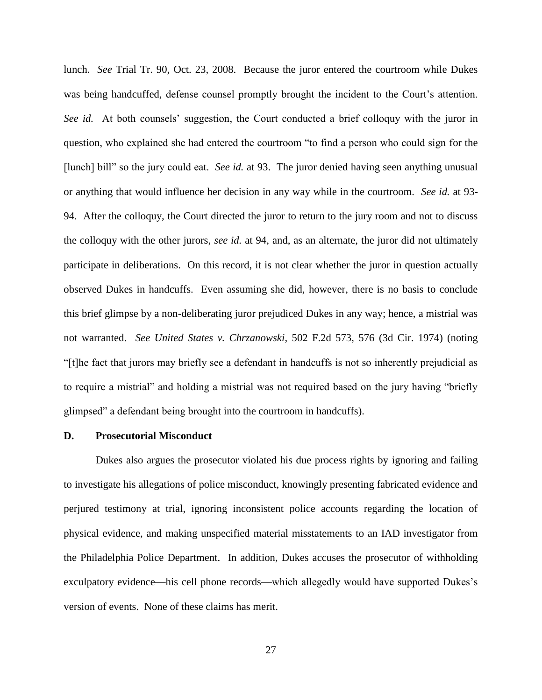lunch. *See* Trial Tr. 90, Oct. 23, 2008. Because the juror entered the courtroom while Dukes was being handcuffed, defense counsel promptly brought the incident to the Court's attention. *See id.* At both counsels' suggestion, the Court conducted a brief colloquy with the juror in question, who explained she had entered the courtroom "to find a person who could sign for the [lunch] bill" so the jury could eat. *See id.* at 93. The juror denied having seen anything unusual or anything that would influence her decision in any way while in the courtroom. *See id.* at 93- 94. After the colloquy, the Court directed the juror to return to the jury room and not to discuss the colloquy with the other jurors, *see id.* at 94, and, as an alternate, the juror did not ultimately participate in deliberations. On this record, it is not clear whether the juror in question actually observed Dukes in handcuffs. Even assuming she did, however, there is no basis to conclude this brief glimpse by a non-deliberating juror prejudiced Dukes in any way; hence, a mistrial was not warranted. *See United States v. Chrzanowski*, 502 F.2d 573, 576 (3d Cir. 1974) (noting "[t]he fact that jurors may briefly see a defendant in handcuffs is not so inherently prejudicial as to require a mistrial" and holding a mistrial was not required based on the jury having "briefly glimpsed" a defendant being brought into the courtroom in handcuffs).

# **D. Prosecutorial Misconduct**

Dukes also argues the prosecutor violated his due process rights by ignoring and failing to investigate his allegations of police misconduct, knowingly presenting fabricated evidence and perjured testimony at trial, ignoring inconsistent police accounts regarding the location of physical evidence, and making unspecified material misstatements to an IAD investigator from the Philadelphia Police Department. In addition, Dukes accuses the prosecutor of withholding exculpatory evidence—his cell phone records—which allegedly would have supported Dukes's version of events. None of these claims has merit.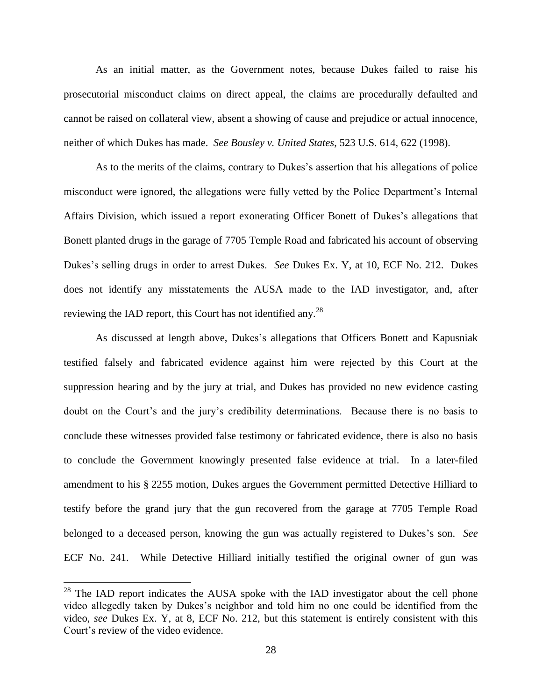As an initial matter, as the Government notes, because Dukes failed to raise his prosecutorial misconduct claims on direct appeal, the claims are procedurally defaulted and cannot be raised on collateral view, absent a showing of cause and prejudice or actual innocence, neither of which Dukes has made. *See Bousley v. United States*, 523 U.S. 614, 622 (1998).

As to the merits of the claims, contrary to Dukes's assertion that his allegations of police misconduct were ignored, the allegations were fully vetted by the Police Department's Internal Affairs Division, which issued a report exonerating Officer Bonett of Dukes's allegations that Bonett planted drugs in the garage of 7705 Temple Road and fabricated his account of observing Dukes's selling drugs in order to arrest Dukes. *See* Dukes Ex. Y, at 10, ECF No. 212. Dukes does not identify any misstatements the AUSA made to the IAD investigator, and, after reviewing the IAD report, this Court has not identified any.<sup>28</sup>

As discussed at length above, Dukes's allegations that Officers Bonett and Kapusniak testified falsely and fabricated evidence against him were rejected by this Court at the suppression hearing and by the jury at trial, and Dukes has provided no new evidence casting doubt on the Court's and the jury's credibility determinations. Because there is no basis to conclude these witnesses provided false testimony or fabricated evidence, there is also no basis to conclude the Government knowingly presented false evidence at trial. In a later-filed amendment to his § 2255 motion, Dukes argues the Government permitted Detective Hilliard to testify before the grand jury that the gun recovered from the garage at 7705 Temple Road belonged to a deceased person, knowing the gun was actually registered to Dukes's son. *See* ECF No. 241. While Detective Hilliard initially testified the original owner of gun was

 $28$  The IAD report indicates the AUSA spoke with the IAD investigator about the cell phone video allegedly taken by Dukes's neighbor and told him no one could be identified from the video, *see* Dukes Ex. Y, at 8, ECF No. 212, but this statement is entirely consistent with this Court's review of the video evidence.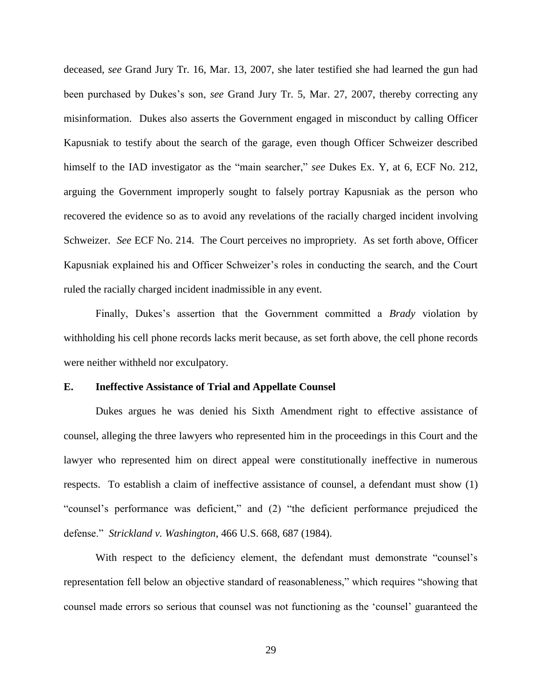deceased, *see* Grand Jury Tr. 16, Mar. 13, 2007, she later testified she had learned the gun had been purchased by Dukes's son, *see* Grand Jury Tr. 5, Mar. 27, 2007, thereby correcting any misinformation. Dukes also asserts the Government engaged in misconduct by calling Officer Kapusniak to testify about the search of the garage, even though Officer Schweizer described himself to the IAD investigator as the "main searcher," *see* Dukes Ex. Y, at 6, ECF No. 212, arguing the Government improperly sought to falsely portray Kapusniak as the person who recovered the evidence so as to avoid any revelations of the racially charged incident involving Schweizer. *See* ECF No. 214. The Court perceives no impropriety. As set forth above, Officer Kapusniak explained his and Officer Schweizer's roles in conducting the search, and the Court ruled the racially charged incident inadmissible in any event.

Finally, Dukes's assertion that the Government committed a *Brady* violation by withholding his cell phone records lacks merit because, as set forth above, the cell phone records were neither withheld nor exculpatory.

# **E. Ineffective Assistance of Trial and Appellate Counsel**

Dukes argues he was denied his Sixth Amendment right to effective assistance of counsel, alleging the three lawyers who represented him in the proceedings in this Court and the lawyer who represented him on direct appeal were constitutionally ineffective in numerous respects. To establish a claim of ineffective assistance of counsel, a defendant must show (1) "counsel's performance was deficient," and (2) "the deficient performance prejudiced the defense." *Strickland v. Washington*, 466 U.S. 668, 687 (1984).

With respect to the deficiency element, the defendant must demonstrate "counsel's representation fell below an objective standard of reasonableness," which requires "showing that counsel made errors so serious that counsel was not functioning as the 'counsel' guaranteed the

29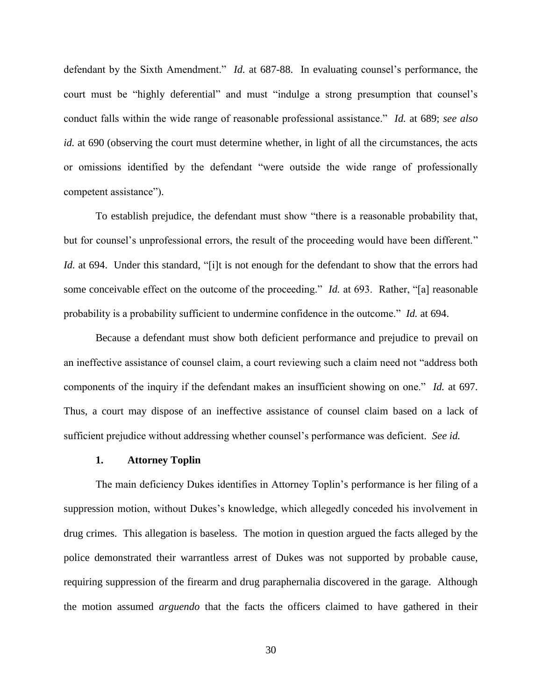defendant by the Sixth Amendment." *Id.* at 687-88. In evaluating counsel's performance, the court must be "highly deferential" and must "indulge a strong presumption that counsel's conduct falls within the wide range of reasonable professional assistance." *Id.* at 689; *see also id.* at 690 (observing the court must determine whether, in light of all the circumstances, the acts or omissions identified by the defendant "were outside the wide range of professionally competent assistance").

To establish prejudice, the defendant must show "there is a reasonable probability that, but for counsel's unprofessional errors, the result of the proceeding would have been different." *Id.* at 694. Under this standard, "[i]t is not enough for the defendant to show that the errors had some conceivable effect on the outcome of the proceeding." *Id.* at 693. Rather, "[a] reasonable probability is a probability sufficient to undermine confidence in the outcome." *Id.* at 694.

Because a defendant must show both deficient performance and prejudice to prevail on an ineffective assistance of counsel claim, a court reviewing such a claim need not "address both components of the inquiry if the defendant makes an insufficient showing on one." *Id.* at 697. Thus, a court may dispose of an ineffective assistance of counsel claim based on a lack of sufficient prejudice without addressing whether counsel's performance was deficient. *See id.*

#### **1. Attorney Toplin**

The main deficiency Dukes identifies in Attorney Toplin's performance is her filing of a suppression motion, without Dukes's knowledge, which allegedly conceded his involvement in drug crimes. This allegation is baseless. The motion in question argued the facts alleged by the police demonstrated their warrantless arrest of Dukes was not supported by probable cause, requiring suppression of the firearm and drug paraphernalia discovered in the garage. Although the motion assumed *arguendo* that the facts the officers claimed to have gathered in their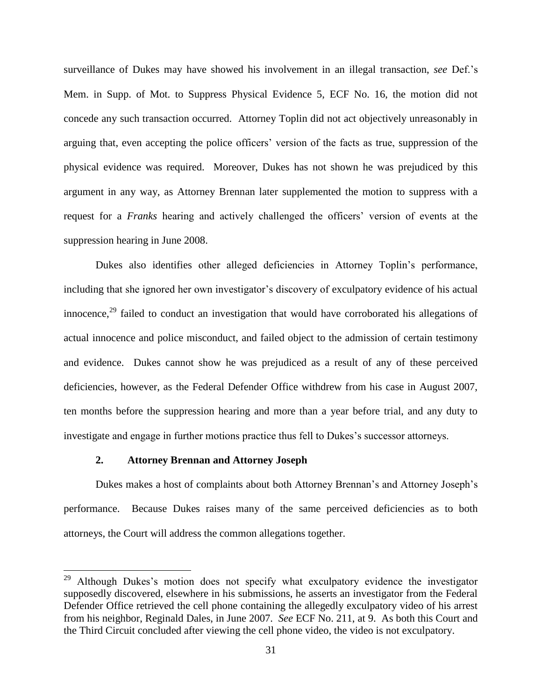surveillance of Dukes may have showed his involvement in an illegal transaction, *see* Def.'s Mem. in Supp. of Mot. to Suppress Physical Evidence 5, ECF No. 16, the motion did not concede any such transaction occurred. Attorney Toplin did not act objectively unreasonably in arguing that, even accepting the police officers' version of the facts as true, suppression of the physical evidence was required. Moreover, Dukes has not shown he was prejudiced by this argument in any way, as Attorney Brennan later supplemented the motion to suppress with a request for a *Franks* hearing and actively challenged the officers' version of events at the suppression hearing in June 2008.

Dukes also identifies other alleged deficiencies in Attorney Toplin's performance, including that she ignored her own investigator's discovery of exculpatory evidence of his actual innocence,<sup>29</sup> failed to conduct an investigation that would have corroborated his allegations of actual innocence and police misconduct, and failed object to the admission of certain testimony and evidence. Dukes cannot show he was prejudiced as a result of any of these perceived deficiencies, however, as the Federal Defender Office withdrew from his case in August 2007, ten months before the suppression hearing and more than a year before trial, and any duty to investigate and engage in further motions practice thus fell to Dukes's successor attorneys.

# **2. Attorney Brennan and Attorney Joseph**

 $\overline{a}$ 

Dukes makes a host of complaints about both Attorney Brennan's and Attorney Joseph's performance. Because Dukes raises many of the same perceived deficiencies as to both attorneys, the Court will address the common allegations together.

<sup>&</sup>lt;sup>29</sup> Although Dukes's motion does not specify what exculpatory evidence the investigator supposedly discovered, elsewhere in his submissions, he asserts an investigator from the Federal Defender Office retrieved the cell phone containing the allegedly exculpatory video of his arrest from his neighbor, Reginald Dales, in June 2007. *See* ECF No. 211, at 9. As both this Court and the Third Circuit concluded after viewing the cell phone video, the video is not exculpatory.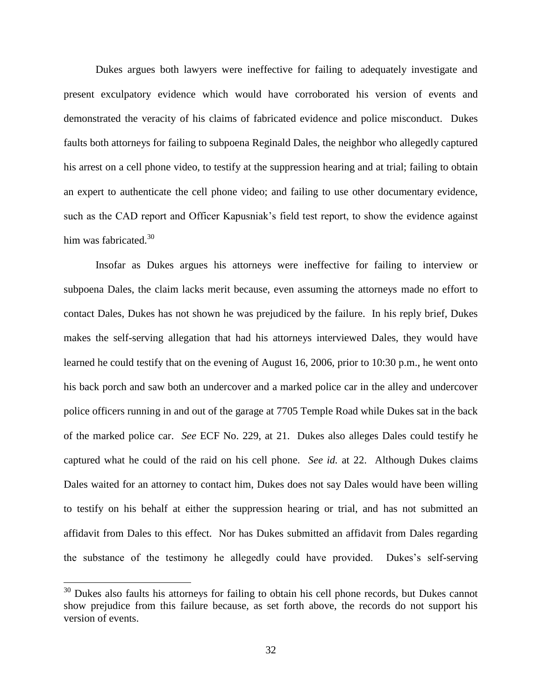Dukes argues both lawyers were ineffective for failing to adequately investigate and present exculpatory evidence which would have corroborated his version of events and demonstrated the veracity of his claims of fabricated evidence and police misconduct. Dukes faults both attorneys for failing to subpoena Reginald Dales, the neighbor who allegedly captured his arrest on a cell phone video, to testify at the suppression hearing and at trial; failing to obtain an expert to authenticate the cell phone video; and failing to use other documentary evidence, such as the CAD report and Officer Kapusniak's field test report, to show the evidence against him was fabricated. $30$ 

Insofar as Dukes argues his attorneys were ineffective for failing to interview or subpoena Dales, the claim lacks merit because, even assuming the attorneys made no effort to contact Dales, Dukes has not shown he was prejudiced by the failure. In his reply brief, Dukes makes the self-serving allegation that had his attorneys interviewed Dales, they would have learned he could testify that on the evening of August 16, 2006, prior to 10:30 p.m., he went onto his back porch and saw both an undercover and a marked police car in the alley and undercover police officers running in and out of the garage at 7705 Temple Road while Dukes sat in the back of the marked police car. *See* ECF No. 229, at 21. Dukes also alleges Dales could testify he captured what he could of the raid on his cell phone. *See id.* at 22. Although Dukes claims Dales waited for an attorney to contact him, Dukes does not say Dales would have been willing to testify on his behalf at either the suppression hearing or trial, and has not submitted an affidavit from Dales to this effect. Nor has Dukes submitted an affidavit from Dales regarding the substance of the testimony he allegedly could have provided. Dukes's self-serving

 $30$  Dukes also faults his attorneys for failing to obtain his cell phone records, but Dukes cannot show prejudice from this failure because, as set forth above, the records do not support his version of events.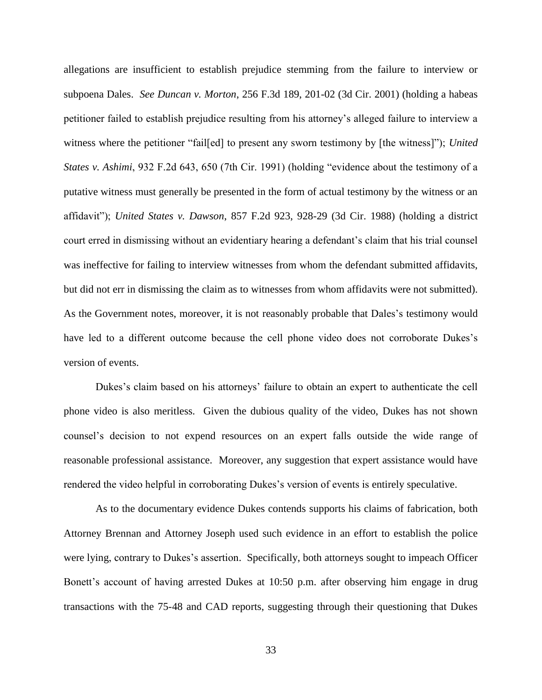allegations are insufficient to establish prejudice stemming from the failure to interview or subpoena Dales. *See Duncan v. Morton*, 256 F.3d 189, 201-02 (3d Cir. 2001) (holding a habeas petitioner failed to establish prejudice resulting from his attorney's alleged failure to interview a witness where the petitioner "fail[ed] to present any sworn testimony by [the witness]"); *United States v. Ashimi*, 932 F.2d 643, 650 (7th Cir. 1991) (holding "evidence about the testimony of a putative witness must generally be presented in the form of actual testimony by the witness or an affidavit"); *United States v. Dawson*, 857 F.2d 923, 928-29 (3d Cir. 1988) (holding a district court erred in dismissing without an evidentiary hearing a defendant's claim that his trial counsel was ineffective for failing to interview witnesses from whom the defendant submitted affidavits, but did not err in dismissing the claim as to witnesses from whom affidavits were not submitted). As the Government notes, moreover, it is not reasonably probable that Dales's testimony would have led to a different outcome because the cell phone video does not corroborate Dukes's version of events.

Dukes's claim based on his attorneys' failure to obtain an expert to authenticate the cell phone video is also meritless. Given the dubious quality of the video, Dukes has not shown counsel's decision to not expend resources on an expert falls outside the wide range of reasonable professional assistance. Moreover, any suggestion that expert assistance would have rendered the video helpful in corroborating Dukes's version of events is entirely speculative.

As to the documentary evidence Dukes contends supports his claims of fabrication, both Attorney Brennan and Attorney Joseph used such evidence in an effort to establish the police were lying, contrary to Dukes's assertion. Specifically, both attorneys sought to impeach Officer Bonett's account of having arrested Dukes at 10:50 p.m. after observing him engage in drug transactions with the 75-48 and CAD reports, suggesting through their questioning that Dukes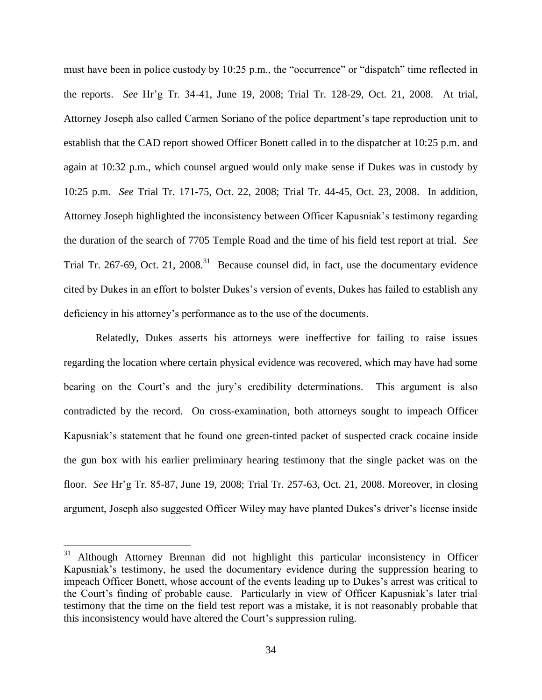must have been in police custody by 10:25 p.m., the "occurrence" or "dispatch" time reflected in the reports. *See* Hr'g Tr. 34-41, June 19, 2008; Trial Tr. 128-29, Oct. 21, 2008. At trial, Attorney Joseph also called Carmen Soriano of the police department's tape reproduction unit to establish that the CAD report showed Officer Bonett called in to the dispatcher at 10:25 p.m. and again at 10:32 p.m., which counsel argued would only make sense if Dukes was in custody by 10:25 p.m. *See* Trial Tr. 171-75, Oct. 22, 2008; Trial Tr. 44-45, Oct. 23, 2008. In addition, Attorney Joseph highlighted the inconsistency between Officer Kapusniak's testimony regarding the duration of the search of 7705 Temple Road and the time of his field test report at trial. *See* Trial Tr. 267-69, Oct. 21, 2008.<sup>31</sup> Because counsel did, in fact, use the documentary evidence cited by Dukes in an effort to bolster Dukes's version of events, Dukes has failed to establish any deficiency in his attorney's performance as to the use of the documents.

Relatedly, Dukes asserts his attorneys were ineffective for failing to raise issues regarding the location where certain physical evidence was recovered, which may have had some bearing on the Court's and the jury's credibility determinations. This argument is also contradicted by the record. On cross-examination, both attorneys sought to impeach Officer Kapusniak's statement that he found one green-tinted packet of suspected crack cocaine inside the gun box with his earlier preliminary hearing testimony that the single packet was on the floor. *See* Hr'g Tr. 85-87, June 19, 2008; Trial Tr. 257-63, Oct. 21, 2008. Moreover, in closing argument, Joseph also suggested Officer Wiley may have planted Dukes's driver's license inside

<sup>31</sup> <sup>31</sup> Although Attorney Brennan did not highlight this particular inconsistency in Officer Kapusniak's testimony, he used the documentary evidence during the suppression hearing to impeach Officer Bonett, whose account of the events leading up to Dukes's arrest was critical to the Court's finding of probable cause. Particularly in view of Officer Kapusniak's later trial testimony that the time on the field test report was a mistake, it is not reasonably probable that this inconsistency would have altered the Court's suppression ruling.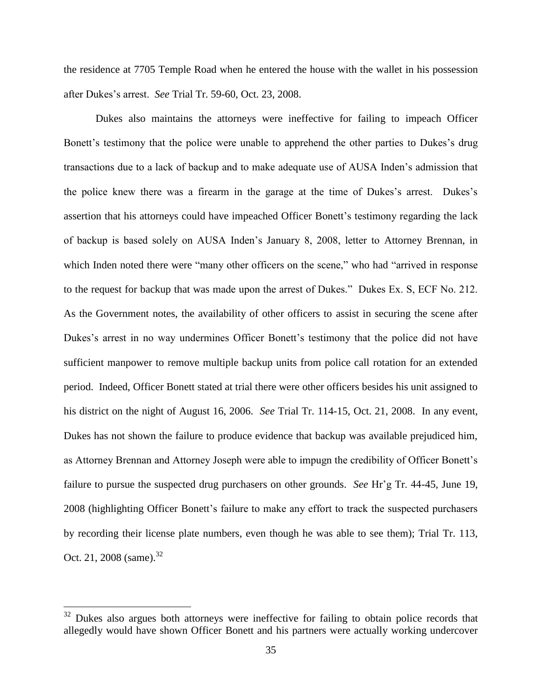the residence at 7705 Temple Road when he entered the house with the wallet in his possession after Dukes's arrest. *See* Trial Tr. 59-60, Oct. 23, 2008.

Dukes also maintains the attorneys were ineffective for failing to impeach Officer Bonett's testimony that the police were unable to apprehend the other parties to Dukes's drug transactions due to a lack of backup and to make adequate use of AUSA Inden's admission that the police knew there was a firearm in the garage at the time of Dukes's arrest. Dukes's assertion that his attorneys could have impeached Officer Bonett's testimony regarding the lack of backup is based solely on AUSA Inden's January 8, 2008, letter to Attorney Brennan, in which Inden noted there were "many other officers on the scene," who had "arrived in response to the request for backup that was made upon the arrest of Dukes." Dukes Ex. S, ECF No. 212. As the Government notes, the availability of other officers to assist in securing the scene after Dukes's arrest in no way undermines Officer Bonett's testimony that the police did not have sufficient manpower to remove multiple backup units from police call rotation for an extended period. Indeed, Officer Bonett stated at trial there were other officers besides his unit assigned to his district on the night of August 16, 2006. *See* Trial Tr. 114-15, Oct. 21, 2008. In any event, Dukes has not shown the failure to produce evidence that backup was available prejudiced him, as Attorney Brennan and Attorney Joseph were able to impugn the credibility of Officer Bonett's failure to pursue the suspected drug purchasers on other grounds. *See* Hr'g Tr. 44-45, June 19, 2008 (highlighting Officer Bonett's failure to make any effort to track the suspected purchasers by recording their license plate numbers, even though he was able to see them); Trial Tr. 113, Oct. 21, 2008 (same).<sup>32</sup>

<sup>&</sup>lt;sup>32</sup> Dukes also argues both attorneys were ineffective for failing to obtain police records that allegedly would have shown Officer Bonett and his partners were actually working undercover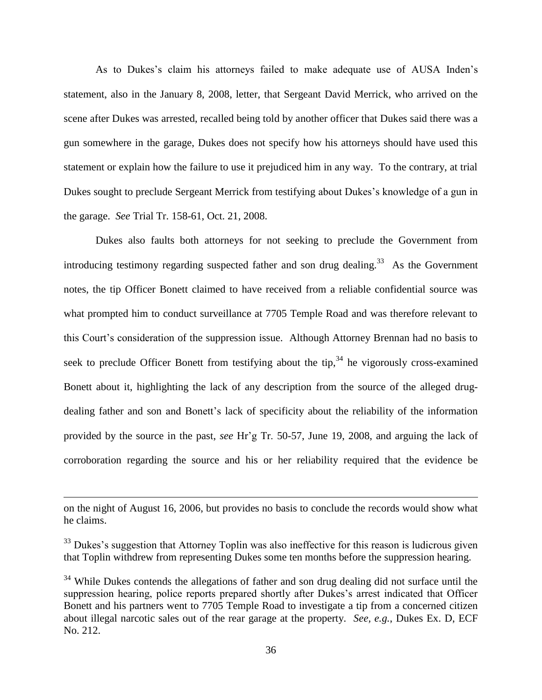As to Dukes's claim his attorneys failed to make adequate use of AUSA Inden's statement, also in the January 8, 2008, letter, that Sergeant David Merrick, who arrived on the scene after Dukes was arrested, recalled being told by another officer that Dukes said there was a gun somewhere in the garage, Dukes does not specify how his attorneys should have used this statement or explain how the failure to use it prejudiced him in any way. To the contrary, at trial Dukes sought to preclude Sergeant Merrick from testifying about Dukes's knowledge of a gun in the garage. *See* Trial Tr. 158-61, Oct. 21, 2008.

Dukes also faults both attorneys for not seeking to preclude the Government from introducing testimony regarding suspected father and son drug dealing.<sup>33</sup> As the Government notes, the tip Officer Bonett claimed to have received from a reliable confidential source was what prompted him to conduct surveillance at 7705 Temple Road and was therefore relevant to this Court's consideration of the suppression issue. Although Attorney Brennan had no basis to seek to preclude Officer Bonett from testifying about the tip,  $34$  he vigorously cross-examined Bonett about it, highlighting the lack of any description from the source of the alleged drugdealing father and son and Bonett's lack of specificity about the reliability of the information provided by the source in the past, *see* Hr'g Tr. 50-57, June 19, 2008, and arguing the lack of corroboration regarding the source and his or her reliability required that the evidence be

on the night of August 16, 2006, but provides no basis to conclude the records would show what he claims.

 $33$  Dukes's suggestion that Attorney Toplin was also ineffective for this reason is ludicrous given that Toplin withdrew from representing Dukes some ten months before the suppression hearing.

<sup>&</sup>lt;sup>34</sup> While Dukes contends the allegations of father and son drug dealing did not surface until the suppression hearing, police reports prepared shortly after Dukes's arrest indicated that Officer Bonett and his partners went to 7705 Temple Road to investigate a tip from a concerned citizen about illegal narcotic sales out of the rear garage at the property. *See, e.g.*, Dukes Ex. D, ECF No. 212.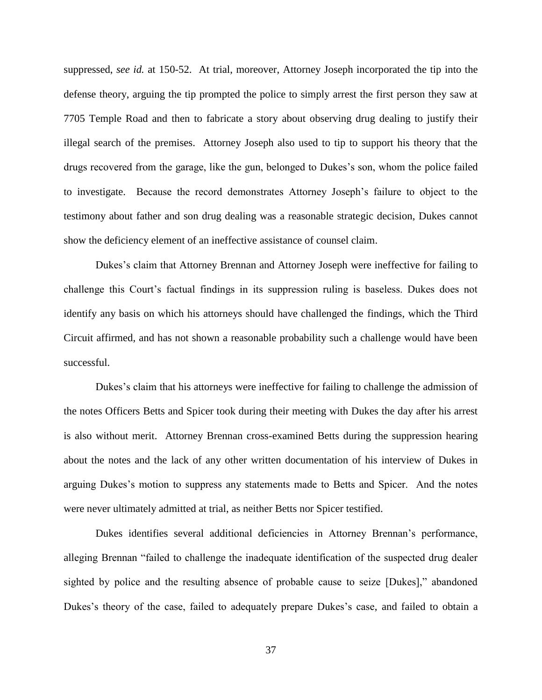suppressed, *see id.* at 150-52. At trial, moreover, Attorney Joseph incorporated the tip into the defense theory, arguing the tip prompted the police to simply arrest the first person they saw at 7705 Temple Road and then to fabricate a story about observing drug dealing to justify their illegal search of the premises. Attorney Joseph also used to tip to support his theory that the drugs recovered from the garage, like the gun, belonged to Dukes's son, whom the police failed to investigate. Because the record demonstrates Attorney Joseph's failure to object to the testimony about father and son drug dealing was a reasonable strategic decision, Dukes cannot show the deficiency element of an ineffective assistance of counsel claim.

Dukes's claim that Attorney Brennan and Attorney Joseph were ineffective for failing to challenge this Court's factual findings in its suppression ruling is baseless. Dukes does not identify any basis on which his attorneys should have challenged the findings, which the Third Circuit affirmed, and has not shown a reasonable probability such a challenge would have been successful.

Dukes's claim that his attorneys were ineffective for failing to challenge the admission of the notes Officers Betts and Spicer took during their meeting with Dukes the day after his arrest is also without merit. Attorney Brennan cross-examined Betts during the suppression hearing about the notes and the lack of any other written documentation of his interview of Dukes in arguing Dukes's motion to suppress any statements made to Betts and Spicer. And the notes were never ultimately admitted at trial, as neither Betts nor Spicer testified.

Dukes identifies several additional deficiencies in Attorney Brennan's performance, alleging Brennan "failed to challenge the inadequate identification of the suspected drug dealer sighted by police and the resulting absence of probable cause to seize [Dukes]," abandoned Dukes's theory of the case, failed to adequately prepare Dukes's case, and failed to obtain a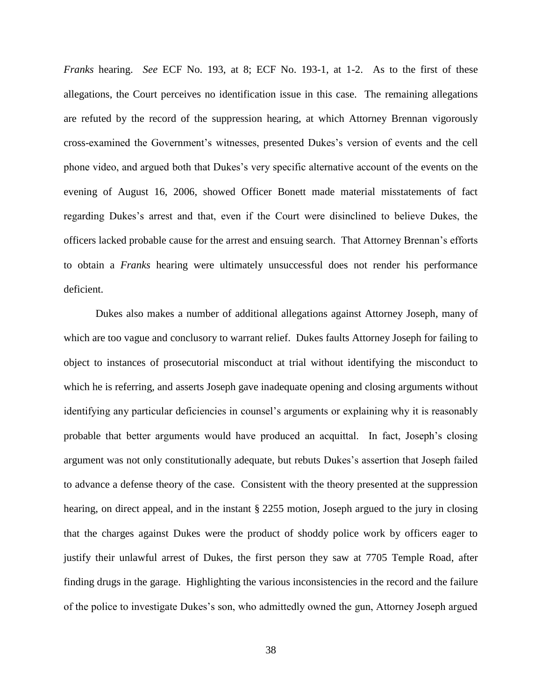*Franks* hearing. *See* ECF No. 193, at 8; ECF No. 193-1, at 1-2. As to the first of these allegations, the Court perceives no identification issue in this case. The remaining allegations are refuted by the record of the suppression hearing, at which Attorney Brennan vigorously cross-examined the Government's witnesses, presented Dukes's version of events and the cell phone video, and argued both that Dukes's very specific alternative account of the events on the evening of August 16, 2006, showed Officer Bonett made material misstatements of fact regarding Dukes's arrest and that, even if the Court were disinclined to believe Dukes, the officers lacked probable cause for the arrest and ensuing search. That Attorney Brennan's efforts to obtain a *Franks* hearing were ultimately unsuccessful does not render his performance deficient.

Dukes also makes a number of additional allegations against Attorney Joseph, many of which are too vague and conclusory to warrant relief. Dukes faults Attorney Joseph for failing to object to instances of prosecutorial misconduct at trial without identifying the misconduct to which he is referring, and asserts Joseph gave inadequate opening and closing arguments without identifying any particular deficiencies in counsel's arguments or explaining why it is reasonably probable that better arguments would have produced an acquittal. In fact, Joseph's closing argument was not only constitutionally adequate, but rebuts Dukes's assertion that Joseph failed to advance a defense theory of the case. Consistent with the theory presented at the suppression hearing, on direct appeal, and in the instant § 2255 motion, Joseph argued to the jury in closing that the charges against Dukes were the product of shoddy police work by officers eager to justify their unlawful arrest of Dukes, the first person they saw at 7705 Temple Road, after finding drugs in the garage. Highlighting the various inconsistencies in the record and the failure of the police to investigate Dukes's son, who admittedly owned the gun, Attorney Joseph argued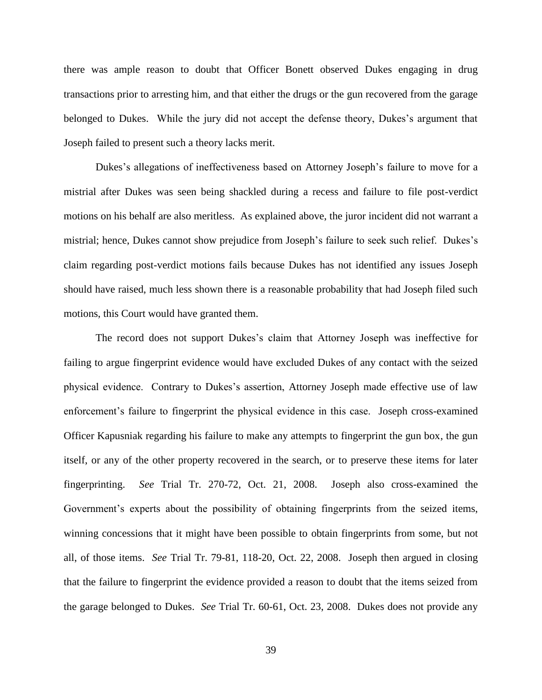there was ample reason to doubt that Officer Bonett observed Dukes engaging in drug transactions prior to arresting him, and that either the drugs or the gun recovered from the garage belonged to Dukes. While the jury did not accept the defense theory, Dukes's argument that Joseph failed to present such a theory lacks merit.

Dukes's allegations of ineffectiveness based on Attorney Joseph's failure to move for a mistrial after Dukes was seen being shackled during a recess and failure to file post-verdict motions on his behalf are also meritless. As explained above, the juror incident did not warrant a mistrial; hence, Dukes cannot show prejudice from Joseph's failure to seek such relief. Dukes's claim regarding post-verdict motions fails because Dukes has not identified any issues Joseph should have raised, much less shown there is a reasonable probability that had Joseph filed such motions, this Court would have granted them.

The record does not support Dukes's claim that Attorney Joseph was ineffective for failing to argue fingerprint evidence would have excluded Dukes of any contact with the seized physical evidence. Contrary to Dukes's assertion, Attorney Joseph made effective use of law enforcement's failure to fingerprint the physical evidence in this case. Joseph cross-examined Officer Kapusniak regarding his failure to make any attempts to fingerprint the gun box, the gun itself, or any of the other property recovered in the search, or to preserve these items for later fingerprinting. *See* Trial Tr. 270-72, Oct. 21, 2008. Joseph also cross-examined the Government's experts about the possibility of obtaining fingerprints from the seized items, winning concessions that it might have been possible to obtain fingerprints from some, but not all, of those items. *See* Trial Tr. 79-81, 118-20, Oct. 22, 2008. Joseph then argued in closing that the failure to fingerprint the evidence provided a reason to doubt that the items seized from the garage belonged to Dukes. *See* Trial Tr. 60-61, Oct. 23, 2008. Dukes does not provide any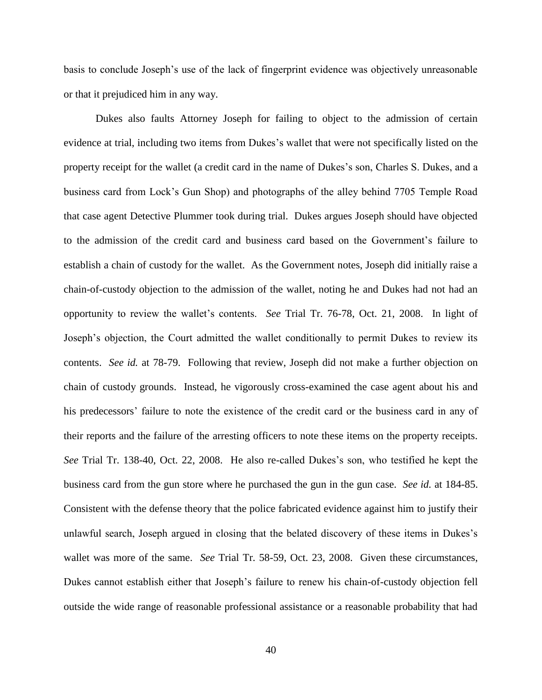basis to conclude Joseph's use of the lack of fingerprint evidence was objectively unreasonable or that it prejudiced him in any way.

Dukes also faults Attorney Joseph for failing to object to the admission of certain evidence at trial, including two items from Dukes's wallet that were not specifically listed on the property receipt for the wallet (a credit card in the name of Dukes's son, Charles S. Dukes, and a business card from Lock's Gun Shop) and photographs of the alley behind 7705 Temple Road that case agent Detective Plummer took during trial. Dukes argues Joseph should have objected to the admission of the credit card and business card based on the Government's failure to establish a chain of custody for the wallet. As the Government notes, Joseph did initially raise a chain-of-custody objection to the admission of the wallet, noting he and Dukes had not had an opportunity to review the wallet's contents. *See* Trial Tr. 76-78, Oct. 21, 2008. In light of Joseph's objection, the Court admitted the wallet conditionally to permit Dukes to review its contents. *See id.* at 78-79. Following that review, Joseph did not make a further objection on chain of custody grounds. Instead, he vigorously cross-examined the case agent about his and his predecessors' failure to note the existence of the credit card or the business card in any of their reports and the failure of the arresting officers to note these items on the property receipts. *See* Trial Tr. 138-40, Oct. 22, 2008. He also re-called Dukes's son, who testified he kept the business card from the gun store where he purchased the gun in the gun case. *See id.* at 184-85. Consistent with the defense theory that the police fabricated evidence against him to justify their unlawful search, Joseph argued in closing that the belated discovery of these items in Dukes's wallet was more of the same. *See* Trial Tr. 58-59, Oct. 23, 2008. Given these circumstances, Dukes cannot establish either that Joseph's failure to renew his chain-of-custody objection fell outside the wide range of reasonable professional assistance or a reasonable probability that had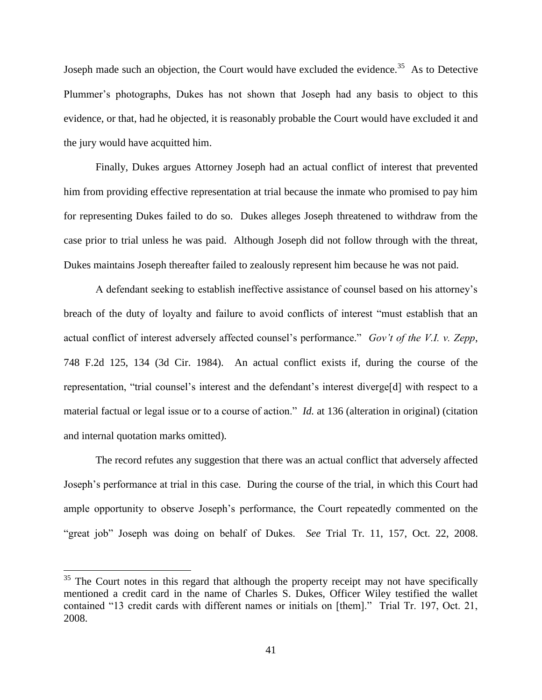Joseph made such an objection, the Court would have excluded the evidence.<sup>35</sup> As to Detective Plummer's photographs, Dukes has not shown that Joseph had any basis to object to this evidence, or that, had he objected, it is reasonably probable the Court would have excluded it and the jury would have acquitted him.

Finally, Dukes argues Attorney Joseph had an actual conflict of interest that prevented him from providing effective representation at trial because the inmate who promised to pay him for representing Dukes failed to do so. Dukes alleges Joseph threatened to withdraw from the case prior to trial unless he was paid. Although Joseph did not follow through with the threat, Dukes maintains Joseph thereafter failed to zealously represent him because he was not paid.

A defendant seeking to establish ineffective assistance of counsel based on his attorney's breach of the duty of loyalty and failure to avoid conflicts of interest "must establish that an actual conflict of interest adversely affected counsel's performance." *Gov't of the V.I. v. Zepp*, 748 F.2d 125, 134 (3d Cir. 1984). An actual conflict exists if, during the course of the representation, "trial counsel's interest and the defendant's interest diverge[d] with respect to a material factual or legal issue or to a course of action." *Id.* at 136 (alteration in original) (citation and internal quotation marks omitted).

The record refutes any suggestion that there was an actual conflict that adversely affected Joseph's performance at trial in this case. During the course of the trial, in which this Court had ample opportunity to observe Joseph's performance, the Court repeatedly commented on the "great job" Joseph was doing on behalf of Dukes. *See* Trial Tr. 11, 157, Oct. 22, 2008.

 $35$  The Court notes in this regard that although the property receipt may not have specifically mentioned a credit card in the name of Charles S. Dukes, Officer Wiley testified the wallet contained "13 credit cards with different names or initials on [them]." Trial Tr. 197, Oct. 21, 2008.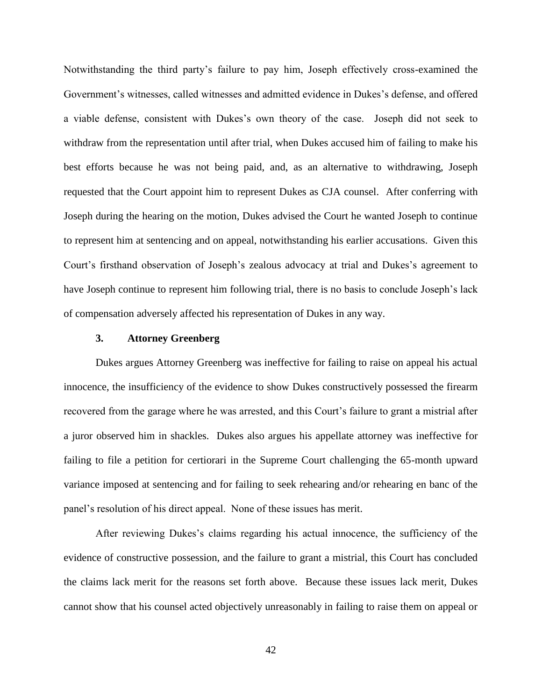Notwithstanding the third party's failure to pay him, Joseph effectively cross-examined the Government's witnesses, called witnesses and admitted evidence in Dukes's defense, and offered a viable defense, consistent with Dukes's own theory of the case. Joseph did not seek to withdraw from the representation until after trial, when Dukes accused him of failing to make his best efforts because he was not being paid, and, as an alternative to withdrawing, Joseph requested that the Court appoint him to represent Dukes as CJA counsel. After conferring with Joseph during the hearing on the motion, Dukes advised the Court he wanted Joseph to continue to represent him at sentencing and on appeal, notwithstanding his earlier accusations. Given this Court's firsthand observation of Joseph's zealous advocacy at trial and Dukes's agreement to have Joseph continue to represent him following trial, there is no basis to conclude Joseph's lack of compensation adversely affected his representation of Dukes in any way.

# **3. Attorney Greenberg**

Dukes argues Attorney Greenberg was ineffective for failing to raise on appeal his actual innocence, the insufficiency of the evidence to show Dukes constructively possessed the firearm recovered from the garage where he was arrested, and this Court's failure to grant a mistrial after a juror observed him in shackles. Dukes also argues his appellate attorney was ineffective for failing to file a petition for certiorari in the Supreme Court challenging the 65-month upward variance imposed at sentencing and for failing to seek rehearing and/or rehearing en banc of the panel's resolution of his direct appeal. None of these issues has merit.

After reviewing Dukes's claims regarding his actual innocence, the sufficiency of the evidence of constructive possession, and the failure to grant a mistrial, this Court has concluded the claims lack merit for the reasons set forth above. Because these issues lack merit, Dukes cannot show that his counsel acted objectively unreasonably in failing to raise them on appeal or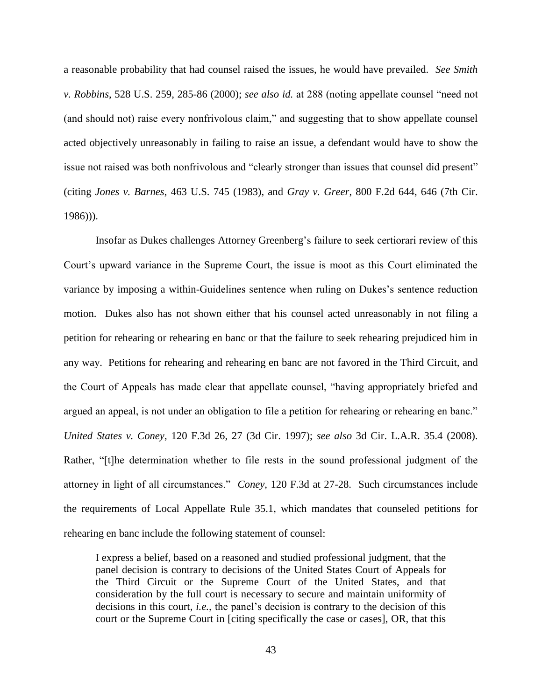a reasonable probability that had counsel raised the issues, he would have prevailed. *See Smith v. Robbins*, 528 U.S. 259, 285-86 (2000); *see also id.* at 288 (noting appellate counsel "need not (and should not) raise every nonfrivolous claim," and suggesting that to show appellate counsel acted objectively unreasonably in failing to raise an issue, a defendant would have to show the issue not raised was both nonfrivolous and "clearly stronger than issues that counsel did present" (citing *Jones v. Barnes*, 463 U.S. 745 (1983), and *Gray v. Greer*, 800 F.2d 644, 646 (7th Cir. 1986))).

Insofar as Dukes challenges Attorney Greenberg's failure to seek certiorari review of this Court's upward variance in the Supreme Court, the issue is moot as this Court eliminated the variance by imposing a within-Guidelines sentence when ruling on Dukes's sentence reduction motion. Dukes also has not shown either that his counsel acted unreasonably in not filing a petition for rehearing or rehearing en banc or that the failure to seek rehearing prejudiced him in any way. Petitions for rehearing and rehearing en banc are not favored in the Third Circuit, and the Court of Appeals has made clear that appellate counsel, "having appropriately briefed and argued an appeal, is not under an obligation to file a petition for rehearing or rehearing en banc." *United States v. Coney*, 120 F.3d 26, 27 (3d Cir. 1997); *see also* 3d Cir. L.A.R. 35.4 (2008). Rather, "[t]he determination whether to file rests in the sound professional judgment of the attorney in light of all circumstances." *Coney*, 120 F.3d at 27-28. Such circumstances include the requirements of Local Appellate Rule 35.1, which mandates that counseled petitions for rehearing en banc include the following statement of counsel:

I express a belief, based on a reasoned and studied professional judgment, that the panel decision is contrary to decisions of the United States Court of Appeals for the Third Circuit or the Supreme Court of the United States, and that consideration by the full court is necessary to secure and maintain uniformity of decisions in this court, *i.e.*, the panel's decision is contrary to the decision of this court or the Supreme Court in [citing specifically the case or cases], OR, that this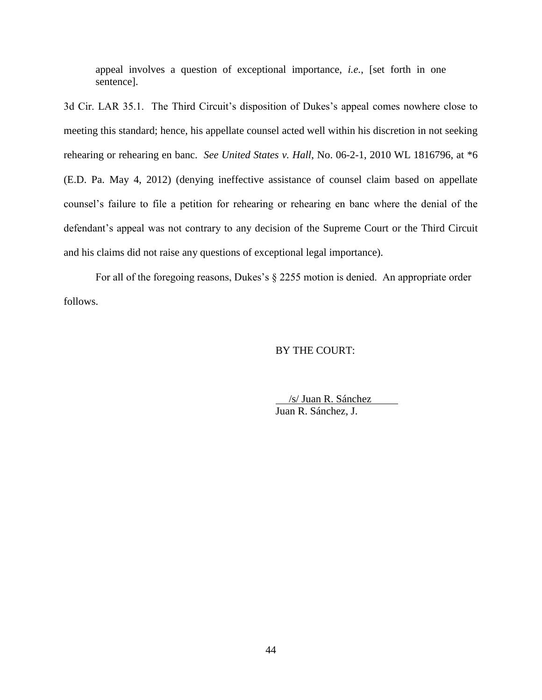appeal involves a question of exceptional importance, *i.e.*, [set forth in one sentence].

3d Cir. LAR 35.1. The Third Circuit's disposition of Dukes's appeal comes nowhere close to meeting this standard; hence, his appellate counsel acted well within his discretion in not seeking rehearing or rehearing en banc. *See United States v. Hall*, No. 06-2-1, 2010 WL 1816796, at \*6 (E.D. Pa. May 4, 2012) (denying ineffective assistance of counsel claim based on appellate counsel's failure to file a petition for rehearing or rehearing en banc where the denial of the defendant's appeal was not contrary to any decision of the Supreme Court or the Third Circuit and his claims did not raise any questions of exceptional legal importance).

For all of the foregoing reasons, Dukes's § 2255 motion is denied. An appropriate order follows.

# BY THE COURT:

 /s/ Juan R. Sánchez . Juan R. Sánchez, J.